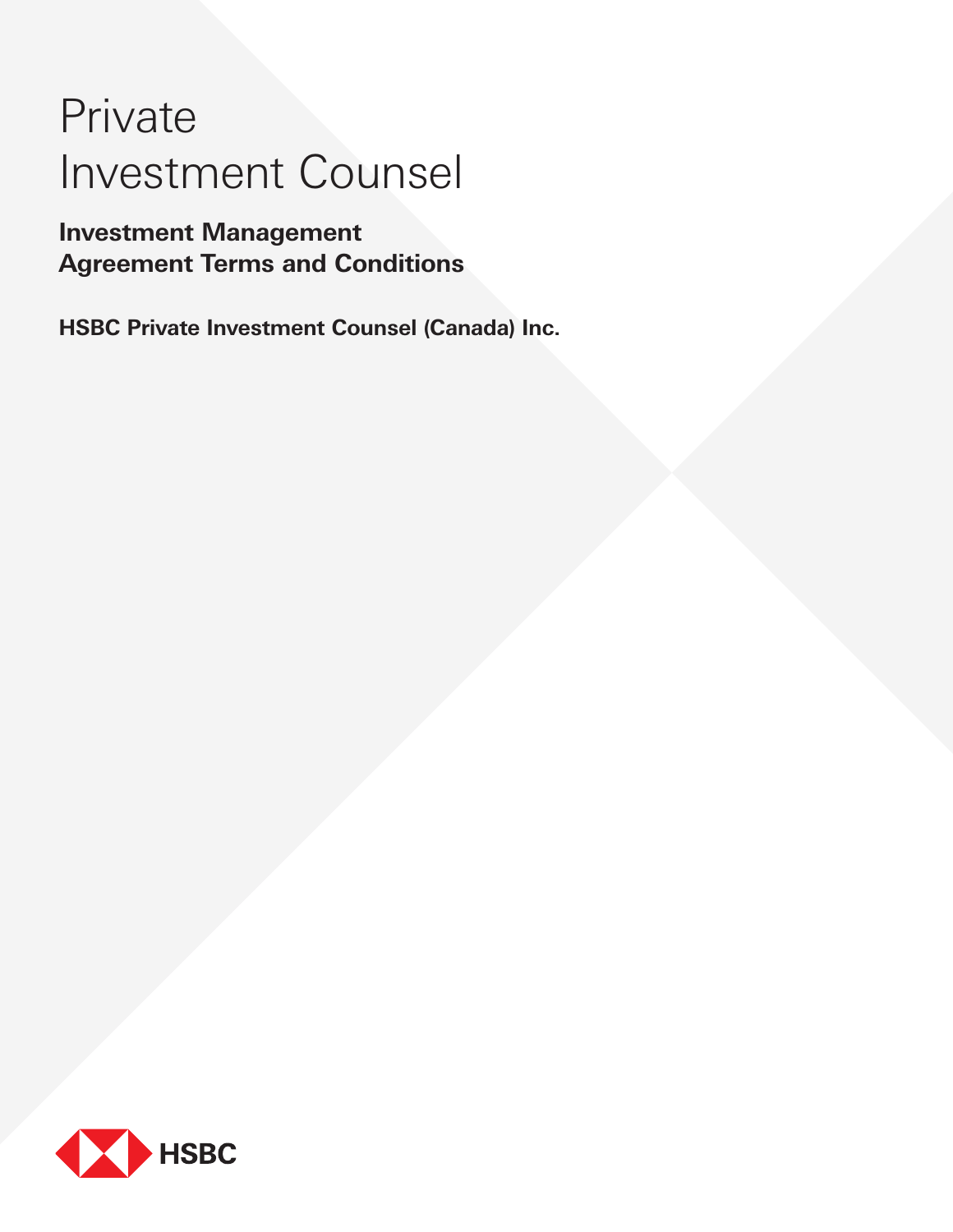# Private Investment Counsel

# **Investment Management Agreement Terms and Conditions**

**HSBC Private Investment Counsel (Canada) Inc.** 

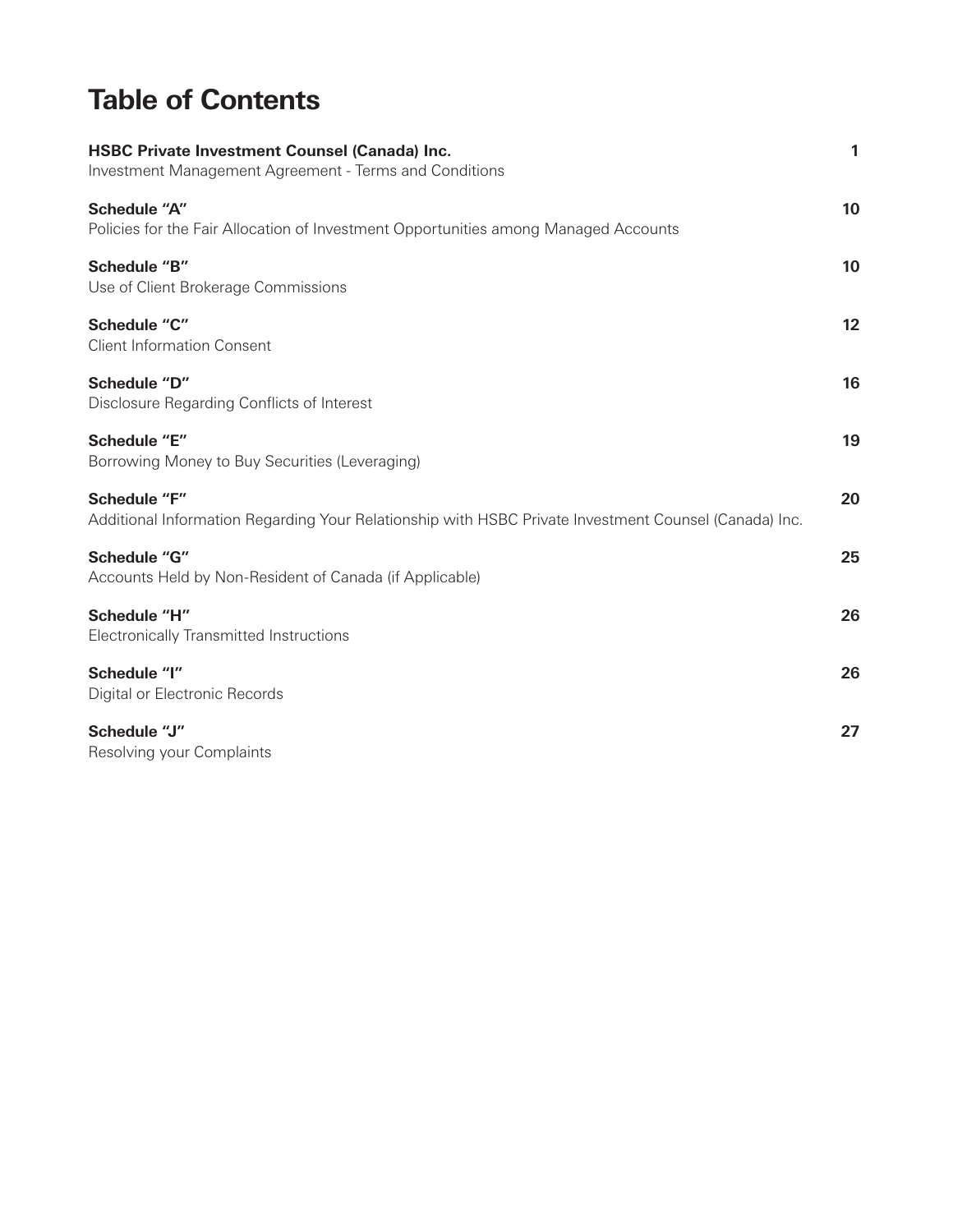# **Table of Contents**

| <b>HSBC Private Investment Counsel (Canada) Inc.</b><br>Investment Management Agreement - Terms and Conditions               | 1  |
|------------------------------------------------------------------------------------------------------------------------------|----|
| <b>Schedule "A"</b><br>Policies for the Fair Allocation of Investment Opportunities among Managed Accounts                   | 10 |
| Schedule "B"<br>Use of Client Brokerage Commissions                                                                          | 10 |
| Schedule "C"<br><b>Client Information Consent</b>                                                                            | 12 |
| Schedule "D"<br>Disclosure Regarding Conflicts of Interest                                                                   | 16 |
| Schedule "E"<br>Borrowing Money to Buy Securities (Leveraging)                                                               | 19 |
| <b>Schedule "F"</b><br>Additional Information Regarding Your Relationship with HSBC Private Investment Counsel (Canada) Inc. | 20 |
| Schedule "G"<br>Accounts Held by Non-Resident of Canada (if Applicable)                                                      | 25 |
| Schedule "H"<br>Electronically Transmitted Instructions                                                                      | 26 |
| Schedule "I"<br>Digital or Electronic Records                                                                                | 26 |
| Schedule "J"<br>Resolving your Complaints                                                                                    | 27 |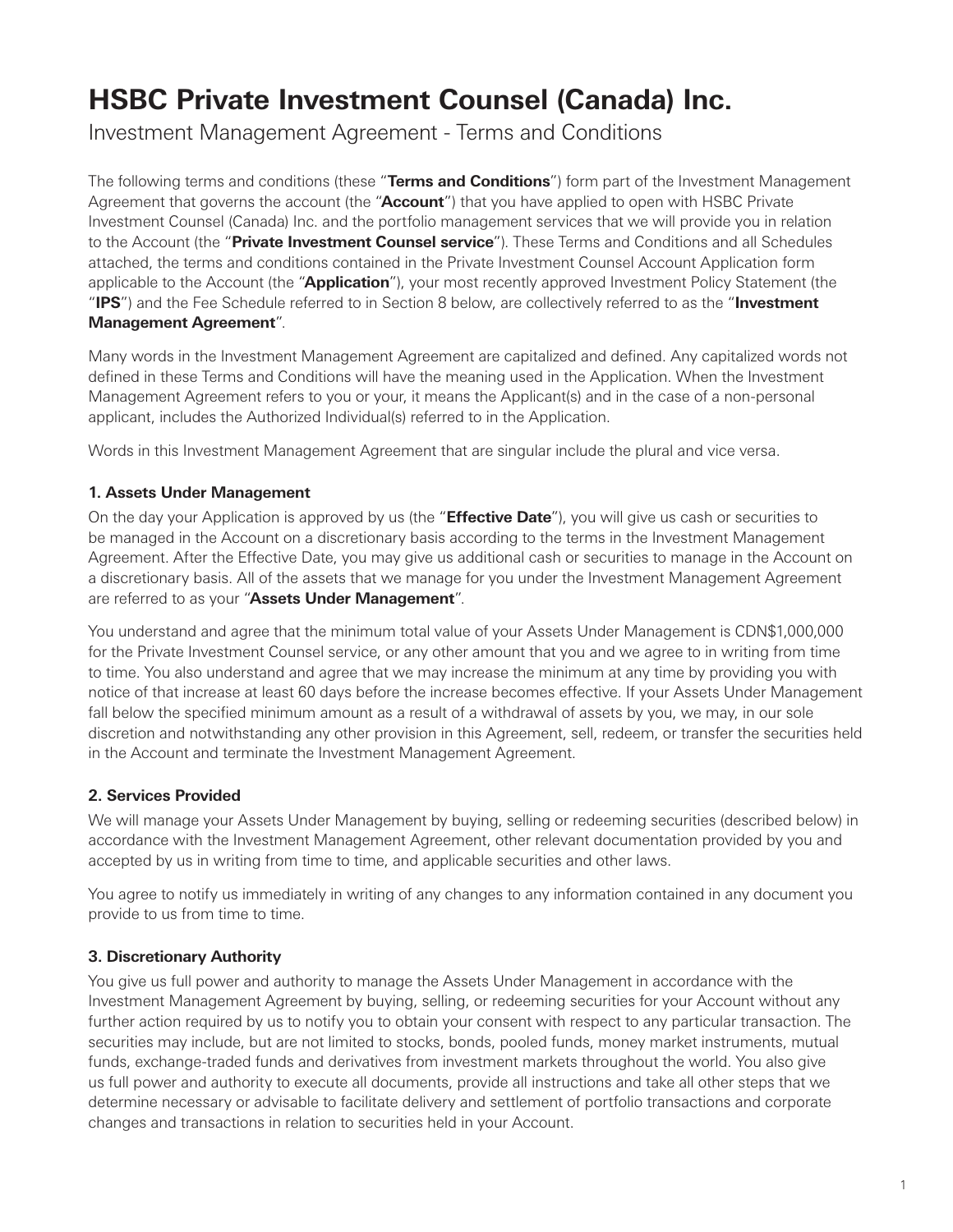# <span id="page-4-0"></span>**HSBC Private Investment Counsel (Canada) Inc.**

Investment Management Agreement - Terms and Conditions

The following terms and conditions (these "**Terms and Conditions**") form part of the Investment Management Agreement that governs the account (the "**Account**") that you have applied to open with HSBC Private Investment Counsel (Canada) Inc. and the portfolio management services that we will provide you in relation to the Account (the "**Private Investment Counsel service**"). These Terms and Conditions and all Schedules attached, the terms and conditions contained in the Private Investment Counsel Account Application form applicable to the Account (the "**Application**"), your most recently approved Investment Policy Statement (the "**IPS**") and the Fee Schedule referred to in Section 8 below, are collectively referred to as the "**Investment Management Agreement**".

Many words in the Investment Management Agreement are capitalized and defined. Any capitalized words not defined in these Terms and Conditions will have the meaning used in the Application. When the Investment Management Agreement refers to you or your, it means the Applicant(s) and in the case of a non-personal applicant, includes the Authorized Individual(s) referred to in the Application.

Words in this Investment Management Agreement that are singular include the plural and vice versa.

# **1. Assets Under Management**

On the day your Application is approved by us (the "**Effective Date**"), you will give us cash or securities to be managed in the Account on a discretionary basis according to the terms in the Investment Management Agreement. After the Effective Date, you may give us additional cash or securities to manage in the Account on a discretionary basis. All of the assets that we manage for you under the Investment Management Agreement are referred to as your "**Assets Under Management**".

You understand and agree that the minimum total value of your Assets Under Management is CDN\$1,000,000 for the Private Investment Counsel service, or any other amount that you and we agree to in writing from time to time. You also understand and agree that we may increase the minimum at any time by providing you with notice of that increase at least 60 days before the increase becomes effective. If your Assets Under Management fall below the specified minimum amount as a result of a withdrawal of assets by you, we may, in our sole discretion and notwithstanding any other provision in this Agreement, sell, redeem, or transfer the securities held in the Account and terminate the Investment Management Agreement.

# **2. Services Provided**

We will manage your Assets Under Management by buying, selling or redeeming securities (described below) in accordance with the Investment Management Agreement, other relevant documentation provided by you and accepted by us in writing from time to time, and applicable securities and other laws.

You agree to notify us immediately in writing of any changes to any information contained in any document you provide to us from time to time.

# **3. Discretionary Authority**

You give us full power and authority to manage the Assets Under Management in accordance with the Investment Management Agreement by buying, selling, or redeeming securities for your Account without any further action required by us to notify you to obtain your consent with respect to any particular transaction. The securities may include, but are not limited to stocks, bonds, pooled funds, money market instruments, mutual funds, exchange-traded funds and derivatives from investment markets throughout the world. You also give us full power and authority to execute all documents, provide all instructions and take all other steps that we determine necessary or advisable to facilitate delivery and settlement of portfolio transactions and corporate changes and transactions in relation to securities held in your Account.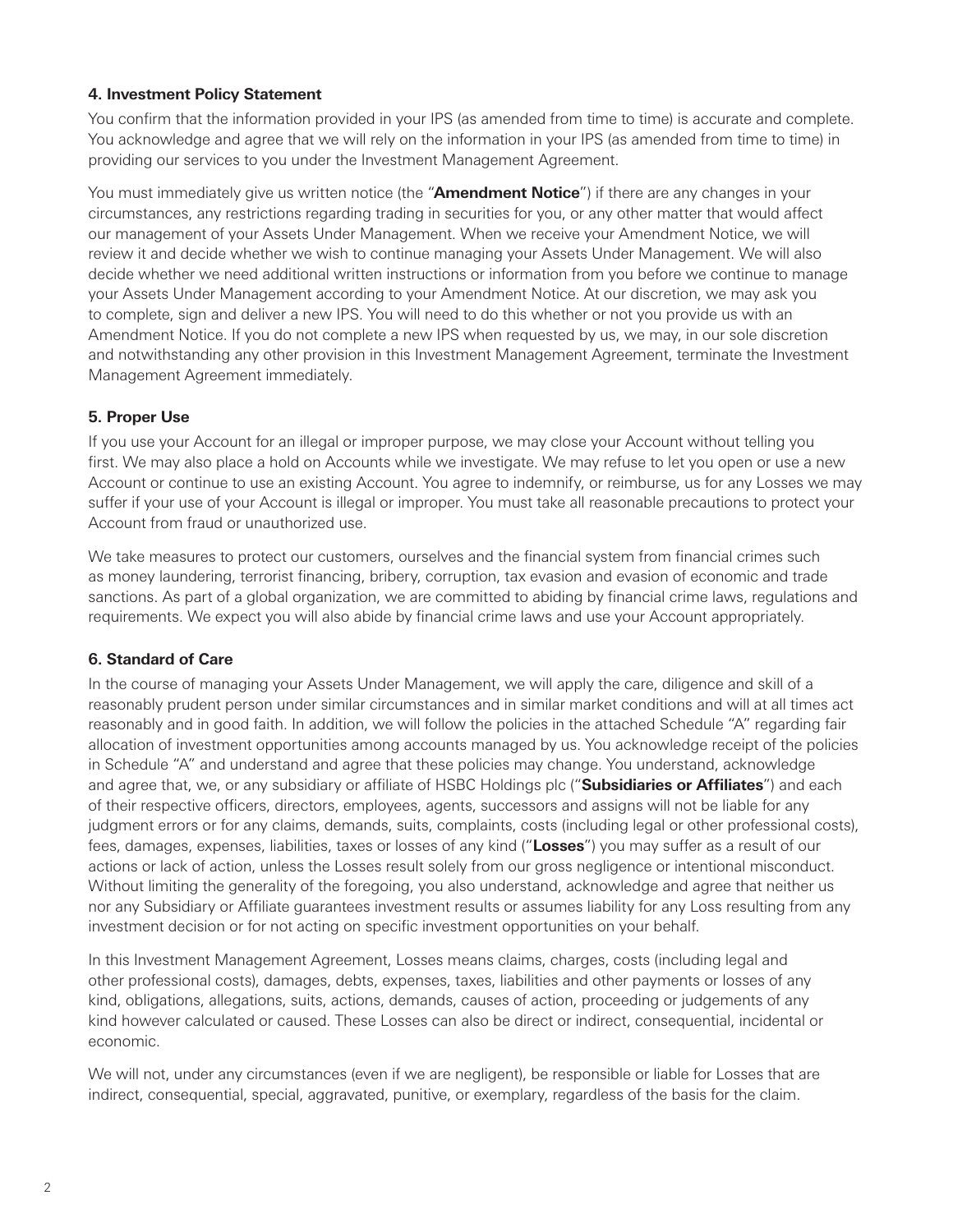### **4. Investment Policy Statement**

You confirm that the information provided in your IPS (as amended from time to time) is accurate and complete. You acknowledge and agree that we will rely on the information in your IPS (as amended from time to time) in providing our services to you under the Investment Management Agreement.

You must immediately give us written notice (the "**Amendment Notice**") if there are any changes in your circumstances, any restrictions regarding trading in securities for you, or any other matter that would affect our management of your Assets Under Management. When we receive your Amendment Notice, we will review it and decide whether we wish to continue managing your Assets Under Management. We will also decide whether we need additional written instructions or information from you before we continue to manage your Assets Under Management according to your Amendment Notice. At our discretion, we may ask you to complete, sign and deliver a new IPS. You will need to do this whether or not you provide us with an Amendment Notice. If you do not complete a new IPS when requested by us, we may, in our sole discretion and notwithstanding any other provision in this Investment Management Agreement, terminate the Investment Management Agreement immediately.

#### **5. Proper Use**

If you use your Account for an illegal or improper purpose, we may close your Account without telling you first. We may also place a hold on Accounts while we investigate. We may refuse to let you open or use a new Account or continue to use an existing Account. You agree to indemnify, or reimburse, us for any Losses we may suffer if your use of your Account is illegal or improper. You must take all reasonable precautions to protect your Account from fraud or unauthorized use.

We take measures to protect our customers, ourselves and the financial system from financial crimes such as money laundering, terrorist financing, bribery, corruption, tax evasion and evasion of economic and trade sanctions. As part of a global organization, we are committed to abiding by financial crime laws, regulations and requirements. We expect you will also abide by financial crime laws and use your Account appropriately.

#### **6. Standard of Care**

In the course of managing your Assets Under Management, we will apply the care, diligence and skill of a reasonably prudent person under similar circumstances and in similar market conditions and will at all times act reasonably and in good faith. In addition, we will follow the policies in the attached Schedule "A" regarding fair allocation of investment opportunities among accounts managed by us. You acknowledge receipt of the policies in Schedule "A" and understand and agree that these policies may change. You understand, acknowledge and agree that, we, or any subsidiary or affiliate of HSBC Holdings plc ("**Subsidiaries or Affiliates**") and each of their respective officers, directors, employees, agents, successors and assigns will not be liable for any judgment errors or for any claims, demands, suits, complaints, costs (including legal or other professional costs), fees, damages, expenses, liabilities, taxes or losses of any kind ("**Losses**") you may suffer as a result of our actions or lack of action, unless the Losses result solely from our gross negligence or intentional misconduct. Without limiting the generality of the foregoing, you also understand, acknowledge and agree that neither us nor any Subsidiary or Affiliate guarantees investment results or assumes liability for any Loss resulting from any investment decision or for not acting on specific investment opportunities on your behalf.

In this Investment Management Agreement, Losses means claims, charges, costs (including legal and other professional costs), damages, debts, expenses, taxes, liabilities and other payments or losses of any kind, obligations, allegations, suits, actions, demands, causes of action, proceeding or judgements of any kind however calculated or caused. These Losses can also be direct or indirect, consequential, incidental or economic.

We will not, under any circumstances (even if we are negligent), be responsible or liable for Losses that are indirect, consequential, special, aggravated, punitive, or exemplary, regardless of the basis for the claim.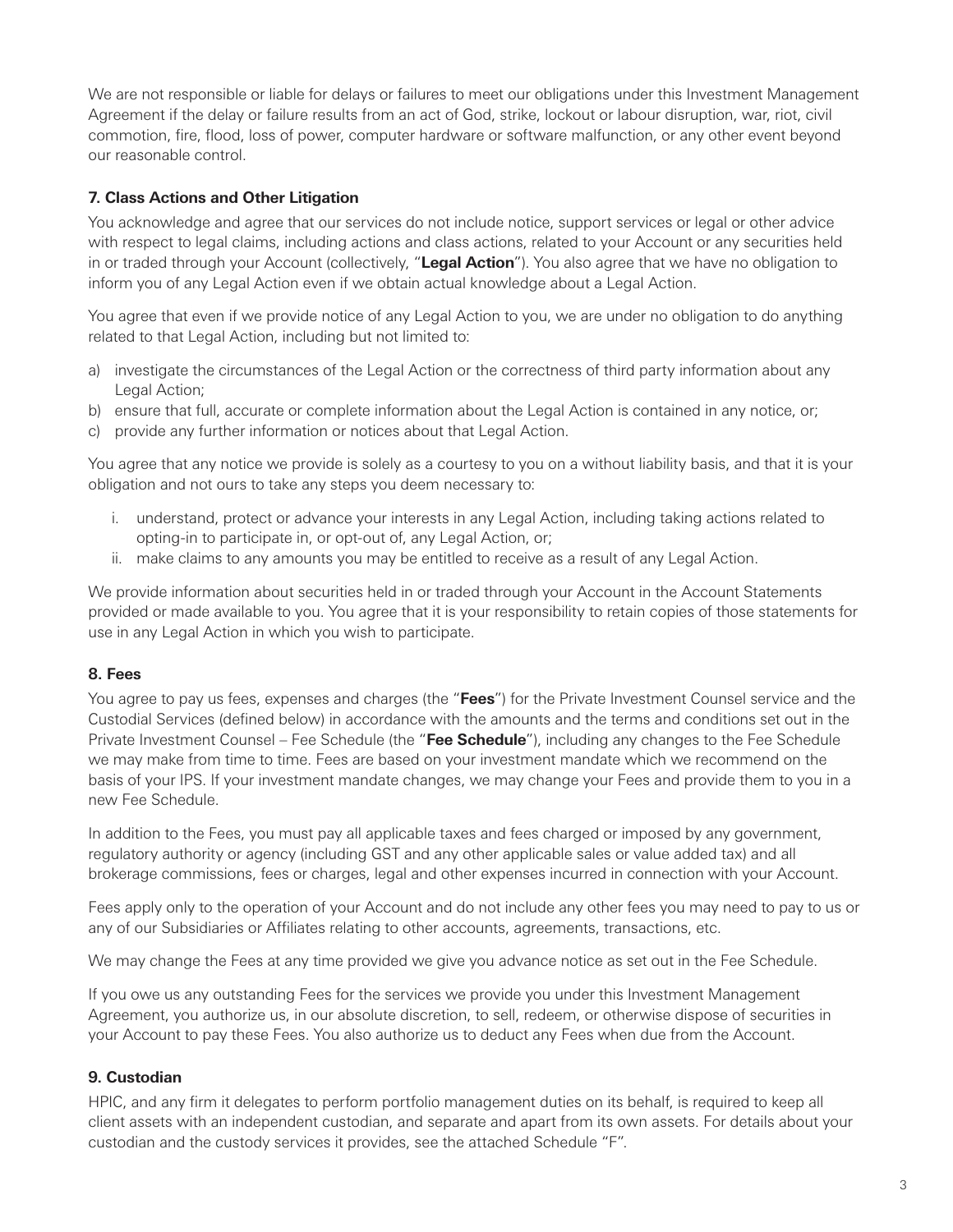We are not responsible or liable for delays or failures to meet our obligations under this Investment Management Agreement if the delay or failure results from an act of God, strike, lockout or labour disruption, war, riot, civil commotion, fire, flood, loss of power, computer hardware or software malfunction, or any other event beyond our reasonable control.

#### **7. Class Actions and Other Litigation**

You acknowledge and agree that our services do not include notice, support services or legal or other advice with respect to legal claims, including actions and class actions, related to your Account or any securities held in or traded through your Account (collectively, "**Legal Action**"). You also agree that we have no obligation to inform you of any Legal Action even if we obtain actual knowledge about a Legal Action.

You agree that even if we provide notice of any Legal Action to you, we are under no obligation to do anything related to that Legal Action, including but not limited to:

- a) investigate the circumstances of the Legal Action or the correctness of third party information about any Legal Action;
- b) ensure that full, accurate or complete information about the Legal Action is contained in any notice, or;
- c) provide any further information or notices about that Legal Action.

You agree that any notice we provide is solely as a courtesy to you on a without liability basis, and that it is your obligation and not ours to take any steps you deem necessary to:

- i. understand, protect or advance your interests in any Legal Action, including taking actions related to opting-in to participate in, or opt-out of, any Legal Action, or;
- ii. make claims to any amounts you may be entitled to receive as a result of any Legal Action.

We provide information about securities held in or traded through your Account in the Account Statements provided or made available to you. You agree that it is your responsibility to retain copies of those statements for use in any Legal Action in which you wish to participate.

#### **8. Fees**

You agree to pay us fees, expenses and charges (the "**Fees**") for the Private Investment Counsel service and the Custodial Services (defined below) in accordance with the amounts and the terms and conditions set out in the Private Investment Counsel – Fee Schedule (the "**Fee Schedule**"), including any changes to the Fee Schedule we may make from time to time. Fees are based on your investment mandate which we recommend on the basis of your IPS. If your investment mandate changes, we may change your Fees and provide them to you in a new Fee Schedule.

In addition to the Fees, you must pay all applicable taxes and fees charged or imposed by any government, regulatory authority or agency (including GST and any other applicable sales or value added tax) and all brokerage commissions, fees or charges, legal and other expenses incurred in connection with your Account.

Fees apply only to the operation of your Account and do not include any other fees you may need to pay to us or any of our Subsidiaries or Affiliates relating to other accounts, agreements, transactions, etc.

We may change the Fees at any time provided we give you advance notice as set out in the Fee Schedule.

If you owe us any outstanding Fees for the services we provide you under this Investment Management Agreement, you authorize us, in our absolute discretion, to sell, redeem, or otherwise dispose of securities in your Account to pay these Fees. You also authorize us to deduct any Fees when due from the Account.

# **9. Custodian**

HPIC, and any firm it delegates to perform portfolio management duties on its behalf, is required to keep all client assets with an independent custodian, and separate and apart from its own assets. For details about your custodian and the custody services it provides, see the attached Schedule "F".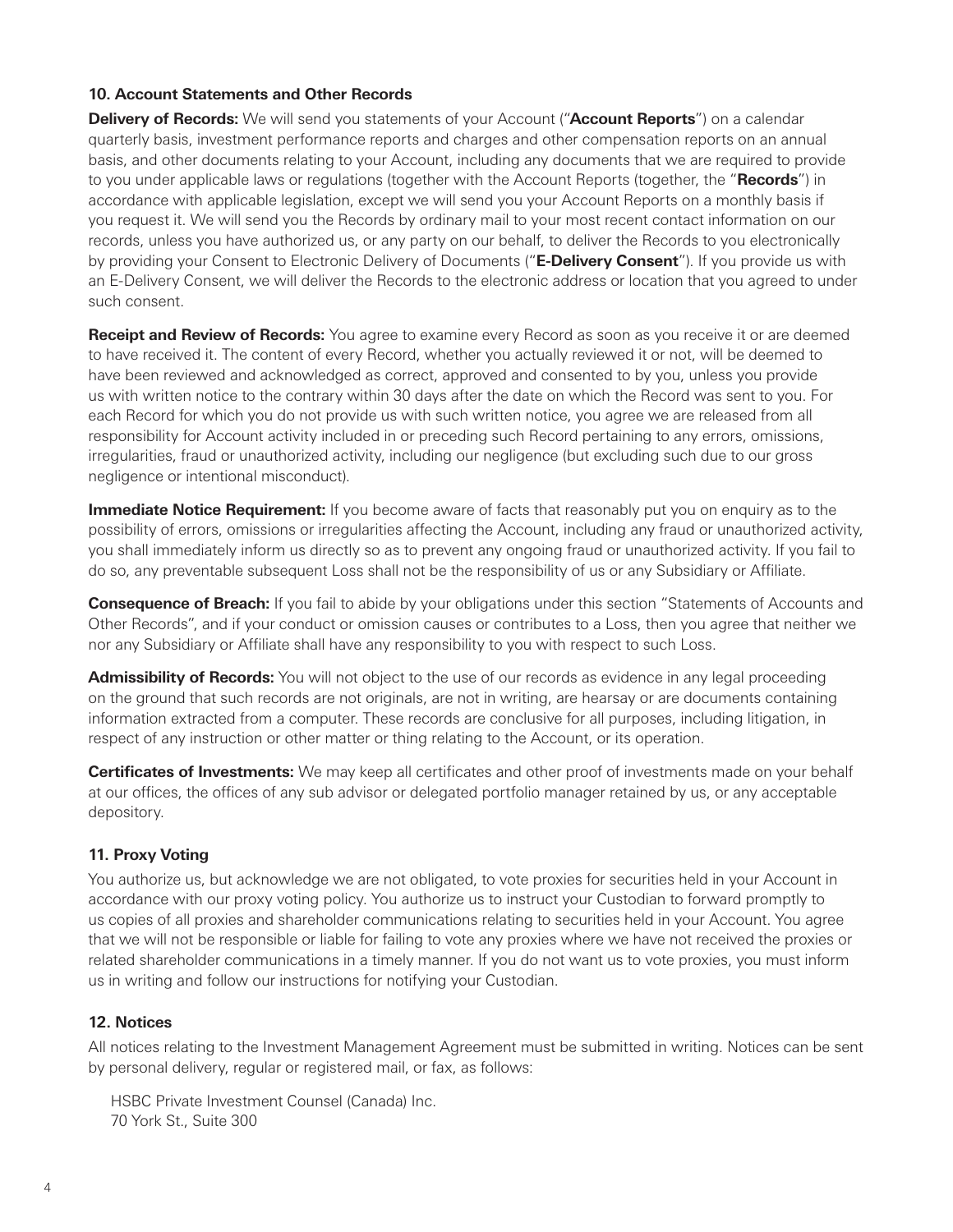#### **10. Account Statements and Other Records**

**Delivery of Records:** We will send you statements of your Account ("**Account Reports**") on a calendar quarterly basis, investment performance reports and charges and other compensation reports on an annual basis, and other documents relating to your Account, including any documents that we are required to provide to you under applicable laws or regulations (together with the Account Reports (together, the "**Records**") in accordance with applicable legislation, except we will send you your Account Reports on a monthly basis if you request it. We will send you the Records by ordinary mail to your most recent contact information on our records, unless you have authorized us, or any party on our behalf, to deliver the Records to you electronically by providing your Consent to Electronic Delivery of Documents ("**E-Delivery Consent**"). If you provide us with an E-Delivery Consent, we will deliver the Records to the electronic address or location that you agreed to under such consent.

**Receipt and Review of Records:** You agree to examine every Record as soon as you receive it or are deemed to have received it. The content of every Record, whether you actually reviewed it or not, will be deemed to have been reviewed and acknowledged as correct, approved and consented to by you, unless you provide us with written notice to the contrary within 30 days after the date on which the Record was sent to you. For each Record for which you do not provide us with such written notice, you agree we are released from all responsibility for Account activity included in or preceding such Record pertaining to any errors, omissions, irregularities, fraud or unauthorized activity, including our negligence (but excluding such due to our gross negligence or intentional misconduct).

**Immediate Notice Requirement:** If you become aware of facts that reasonably put you on enquiry as to the possibility of errors, omissions or irregularities affecting the Account, including any fraud or unauthorized activity, you shall immediately inform us directly so as to prevent any ongoing fraud or unauthorized activity. If you fail to do so, any preventable subsequent Loss shall not be the responsibility of us or any Subsidiary or Affiliate.

**Consequence of Breach:** If you fail to abide by your obligations under this section "Statements of Accounts and Other Records", and if your conduct or omission causes or contributes to a Loss, then you agree that neither we nor any Subsidiary or Affiliate shall have any responsibility to you with respect to such Loss.

**Admissibility of Records:** You will not object to the use of our records as evidence in any legal proceeding on the ground that such records are not originals, are not in writing, are hearsay or are documents containing information extracted from a computer. These records are conclusive for all purposes, including litigation, in respect of any instruction or other matter or thing relating to the Account, or its operation.

**Certificates of Investments:** We may keep all certificates and other proof of investments made on your behalf at our offices, the offices of any sub advisor or delegated portfolio manager retained by us, or any acceptable depository.

# **11. Proxy Voting**

You authorize us, but acknowledge we are not obligated, to vote proxies for securities held in your Account in accordance with our proxy voting policy. You authorize us to instruct your Custodian to forward promptly to us copies of all proxies and shareholder communications relating to securities held in your Account. You agree that we will not be responsible or liable for failing to vote any proxies where we have not received the proxies or related shareholder communications in a timely manner. If you do not want us to vote proxies, you must inform us in writing and follow our instructions for notifying your Custodian.

#### **12. Notices**

All notices relating to the Investment Management Agreement must be submitted in writing. Notices can be sent by personal delivery, regular or registered mail, or fax, as follows:

HSBC Private Investment Counsel (Canada) Inc. 70 York St., Suite 300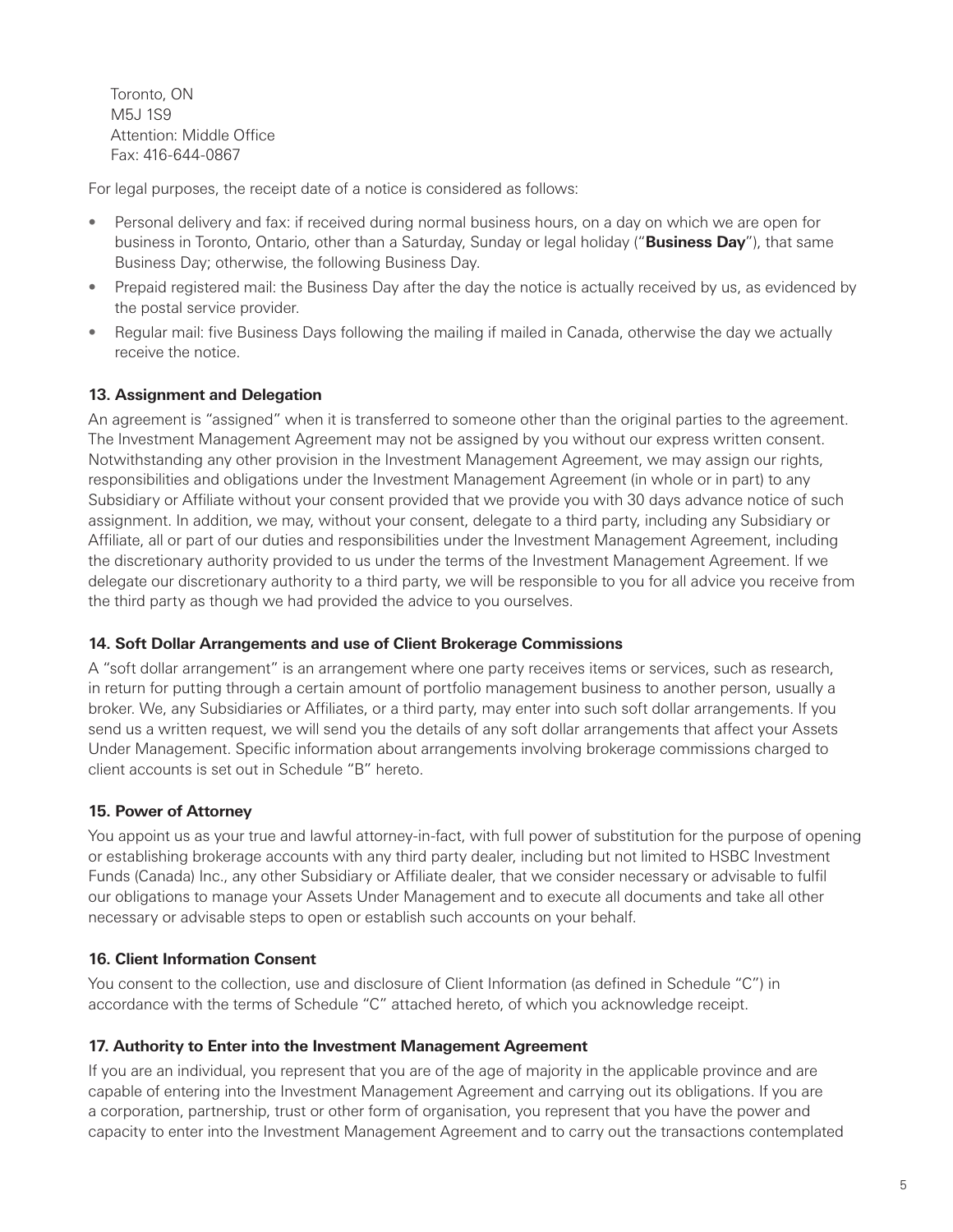Toronto, ON M5J 1S9 Attention: Middle Office Fax: 416-644-0867

For legal purposes, the receipt date of a notice is considered as follows:

- Personal delivery and fax: if received during normal business hours, on a day on which we are open for business in Toronto, Ontario, other than a Saturday, Sunday or legal holiday ("**Business Day**"), that same Business Day; otherwise, the following Business Day.
- Prepaid registered mail: the Business Day after the day the notice is actually received by us, as evidenced by the postal service provider.
- Regular mail: five Business Days following the mailing if mailed in Canada, otherwise the day we actually receive the notice.

# **13. Assignment and Delegation**

An agreement is "assigned" when it is transferred to someone other than the original parties to the agreement. The Investment Management Agreement may not be assigned by you without our express written consent. Notwithstanding any other provision in the Investment Management Agreement, we may assign our rights, responsibilities and obligations under the Investment Management Agreement (in whole or in part) to any Subsidiary or Affiliate without your consent provided that we provide you with 30 days advance notice of such assignment. In addition, we may, without your consent, delegate to a third party, including any Subsidiary or Affiliate, all or part of our duties and responsibilities under the Investment Management Agreement, including the discretionary authority provided to us under the terms of the Investment Management Agreement. If we delegate our discretionary authority to a third party, we will be responsible to you for all advice you receive from the third party as though we had provided the advice to you ourselves.

# **14. Soft Dollar Arrangements and use of Client Brokerage Commissions**

A "soft dollar arrangement" is an arrangement where one party receives items or services, such as research, in return for putting through a certain amount of portfolio management business to another person, usually a broker. We, any Subsidiaries or Affiliates, or a third party, may enter into such soft dollar arrangements. If you send us a written request, we will send you the details of any soft dollar arrangements that affect your Assets Under Management. Specific information about arrangements involving brokerage commissions charged to client accounts is set out in Schedule "B" hereto.

# **15. Power of Attorney**

You appoint us as your true and lawful attorney-in-fact, with full power of substitution for the purpose of opening or establishing brokerage accounts with any third party dealer, including but not limited to HSBC Investment Funds (Canada) Inc., any other Subsidiary or Affiliate dealer, that we consider necessary or advisable to fulfil our obligations to manage your Assets Under Management and to execute all documents and take all other necessary or advisable steps to open or establish such accounts on your behalf.

# **16. Client Information Consent**

You consent to the collection, use and disclosure of Client Information (as defined in Schedule "C") in accordance with the terms of Schedule "C" attached hereto, of which you acknowledge receipt.

# **17. Authority to Enter into the Investment Management Agreement**

If you are an individual, you represent that you are of the age of majority in the applicable province and are capable of entering into the Investment Management Agreement and carrying out its obligations. If you are a corporation, partnership, trust or other form of organisation, you represent that you have the power and capacity to enter into the Investment Management Agreement and to carry out the transactions contemplated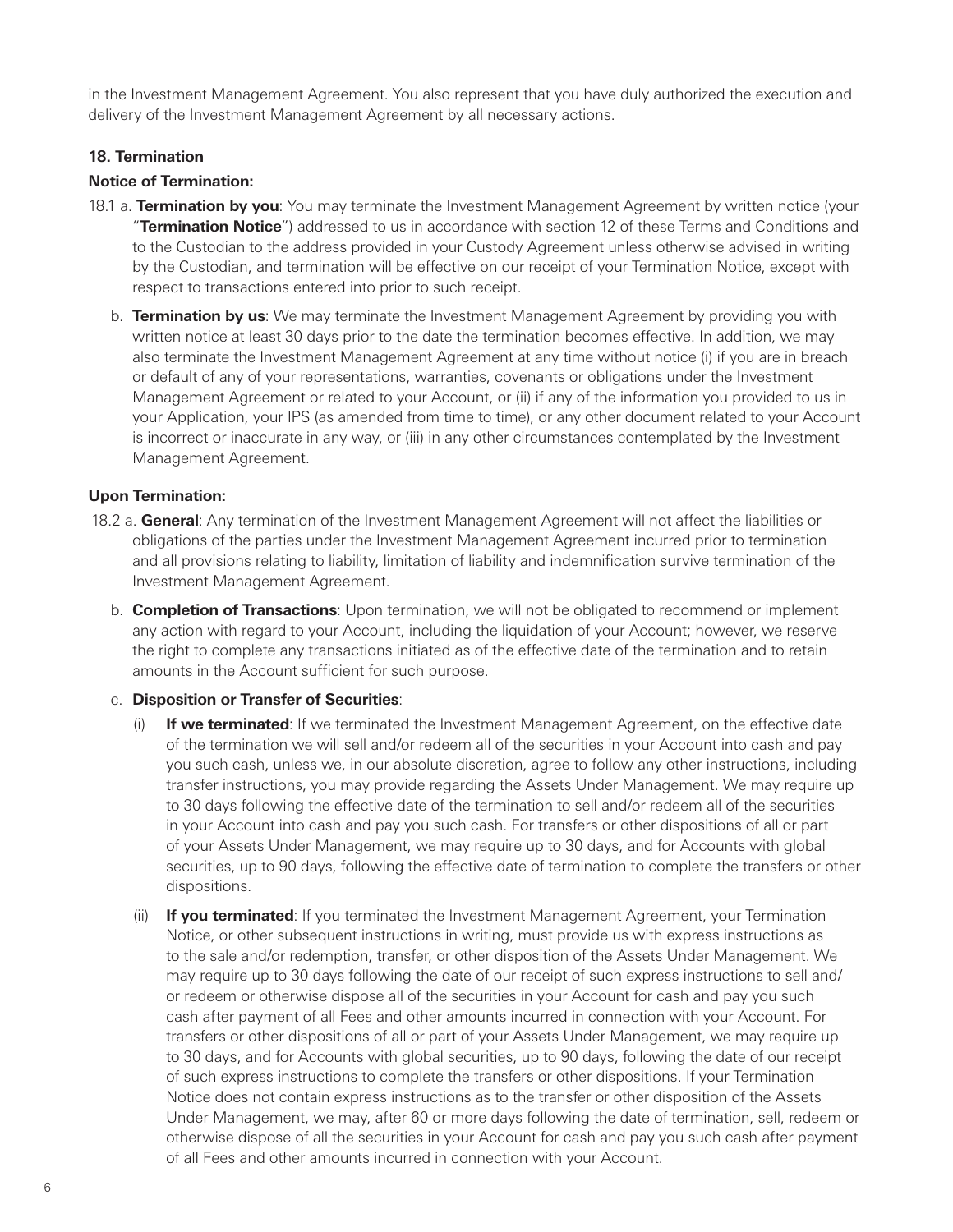in the Investment Management Agreement. You also represent that you have duly authorized the execution and delivery of the Investment Management Agreement by all necessary actions.

#### **18. Termination**

#### **Notice of Termination:**

- 18.1 a. **Termination by you**: You may terminate the Investment Management Agreement by written notice (your "**Termination Notice**") addressed to us in accordance with section 12 of these Terms and Conditions and to the Custodian to the address provided in your Custody Agreement unless otherwise advised in writing by the Custodian, and termination will be effective on our receipt of your Termination Notice, except with respect to transactions entered into prior to such receipt.
	- b. **Termination by us**: We may terminate the Investment Management Agreement by providing you with written notice at least 30 days prior to the date the termination becomes effective. In addition, we may also terminate the Investment Management Agreement at any time without notice (i) if you are in breach or default of any of your representations, warranties, covenants or obligations under the Investment Management Agreement or related to your Account, or (ii) if any of the information you provided to us in your Application, your IPS (as amended from time to time), or any other document related to your Account is incorrect or inaccurate in any way, or (iii) in any other circumstances contemplated by the Investment Management Agreement.

#### **Upon Termination:**

- 18.2 a. **General**: Any termination of the Investment Management Agreement will not affect the liabilities or obligations of the parties under the Investment Management Agreement incurred prior to termination and all provisions relating to liability, limitation of liability and indemnification survive termination of the Investment Management Agreement.
	- b. **Completion of Transactions**: Upon termination, we will not be obligated to recommend or implement any action with regard to your Account, including the liquidation of your Account; however, we reserve the right to complete any transactions initiated as of the effective date of the termination and to retain amounts in the Account sufficient for such purpose.

#### c. **Disposition or Transfer of Securities**:

- (i) **If we terminated**: If we terminated the Investment Management Agreement, on the effective date of the termination we will sell and/or redeem all of the securities in your Account into cash and pay you such cash, unless we, in our absolute discretion, agree to follow any other instructions, including transfer instructions, you may provide regarding the Assets Under Management. We may require up to 30 days following the effective date of the termination to sell and/or redeem all of the securities in your Account into cash and pay you such cash. For transfers or other dispositions of all or part of your Assets Under Management, we may require up to 30 days, and for Accounts with global securities, up to 90 days, following the effective date of termination to complete the transfers or other dispositions.
- (ii) **If you terminated**: If you terminated the Investment Management Agreement, your Termination Notice, or other subsequent instructions in writing, must provide us with express instructions as to the sale and/or redemption, transfer, or other disposition of the Assets Under Management. We may require up to 30 days following the date of our receipt of such express instructions to sell and/ or redeem or otherwise dispose all of the securities in your Account for cash and pay you such cash after payment of all Fees and other amounts incurred in connection with your Account. For transfers or other dispositions of all or part of your Assets Under Management, we may require up to 30 days, and for Accounts with global securities, up to 90 days, following the date of our receipt of such express instructions to complete the transfers or other dispositions. If your Termination Notice does not contain express instructions as to the transfer or other disposition of the Assets Under Management, we may, after 60 or more days following the date of termination, sell, redeem or otherwise dispose of all the securities in your Account for cash and pay you such cash after payment of all Fees and other amounts incurred in connection with your Account.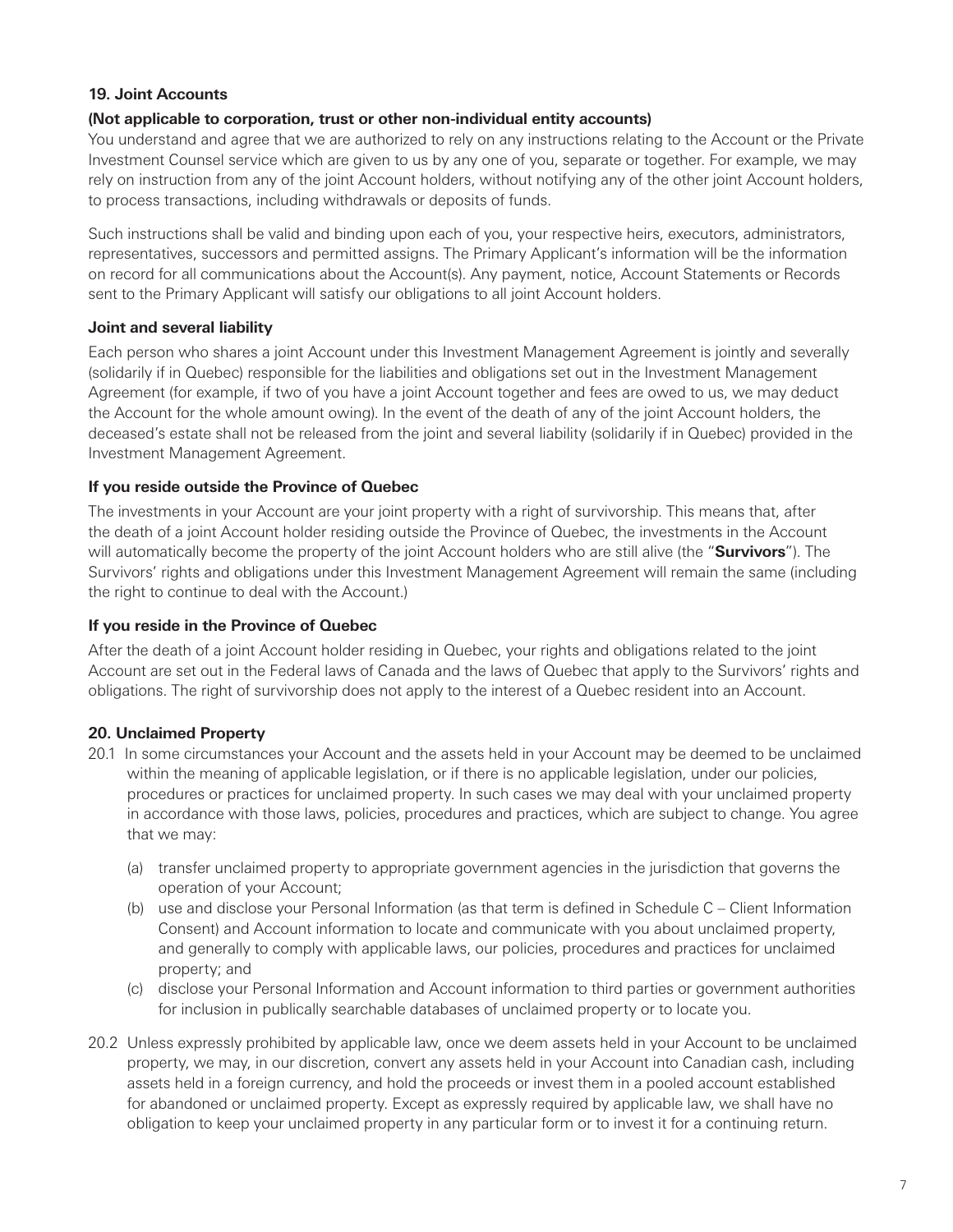#### **19. Joint Accounts**

#### **(Not applicable to corporation, trust or other non-individual entity accounts)**

You understand and agree that we are authorized to rely on any instructions relating to the Account or the Private Investment Counsel service which are given to us by any one of you, separate or together. For example, we may rely on instruction from any of the joint Account holders, without notifying any of the other joint Account holders, to process transactions, including withdrawals or deposits of funds.

Such instructions shall be valid and binding upon each of you, your respective heirs, executors, administrators, representatives, successors and permitted assigns. The Primary Applicant's information will be the information on record for all communications about the Account(s). Any payment, notice, Account Statements or Records sent to the Primary Applicant will satisfy our obligations to all joint Account holders.

#### **Joint and several liability**

Each person who shares a joint Account under this Investment Management Agreement is jointly and severally (solidarily if in Quebec) responsible for the liabilities and obligations set out in the Investment Management Agreement (for example, if two of you have a joint Account together and fees are owed to us, we may deduct the Account for the whole amount owing). In the event of the death of any of the joint Account holders, the deceased's estate shall not be released from the joint and several liability (solidarily if in Quebec) provided in the Investment Management Agreement.

#### **If you reside outside the Province of Quebec**

The investments in your Account are your joint property with a right of survivorship. This means that, after the death of a joint Account holder residing outside the Province of Quebec, the investments in the Account will automatically become the property of the joint Account holders who are still alive (the "**Survivors**"). The Survivors' rights and obligations under this Investment Management Agreement will remain the same (including the right to continue to deal with the Account.)

#### **If you reside in the Province of Quebec**

After the death of a joint Account holder residing in Quebec, your rights and obligations related to the joint Account are set out in the Federal laws of Canada and the laws of Quebec that apply to the Survivors' rights and obligations. The right of survivorship does not apply to the interest of a Quebec resident into an Account.

# **20. Unclaimed Property**

- 20.1 In some circumstances your Account and the assets held in your Account may be deemed to be unclaimed within the meaning of applicable legislation, or if there is no applicable legislation, under our policies, procedures or practices for unclaimed property. In such cases we may deal with your unclaimed property in accordance with those laws, policies, procedures and practices, which are subject to change. You agree that we may:
	- (a) transfer unclaimed property to appropriate government agencies in the jurisdiction that governs the operation of your Account;
	- (b) use and disclose your Personal Information (as that term is defined in Schedule C Client Information Consent) and Account information to locate and communicate with you about unclaimed property, and generally to comply with applicable laws, our policies, procedures and practices for unclaimed property; and
	- (c) disclose your Personal Information and Account information to third parties or government authorities for inclusion in publically searchable databases of unclaimed property or to locate you.
- 20.2 Unless expressly prohibited by applicable law, once we deem assets held in your Account to be unclaimed property, we may, in our discretion, convert any assets held in your Account into Canadian cash, including assets held in a foreign currency, and hold the proceeds or invest them in a pooled account established for abandoned or unclaimed property. Except as expressly required by applicable law, we shall have no obligation to keep your unclaimed property in any particular form or to invest it for a continuing return.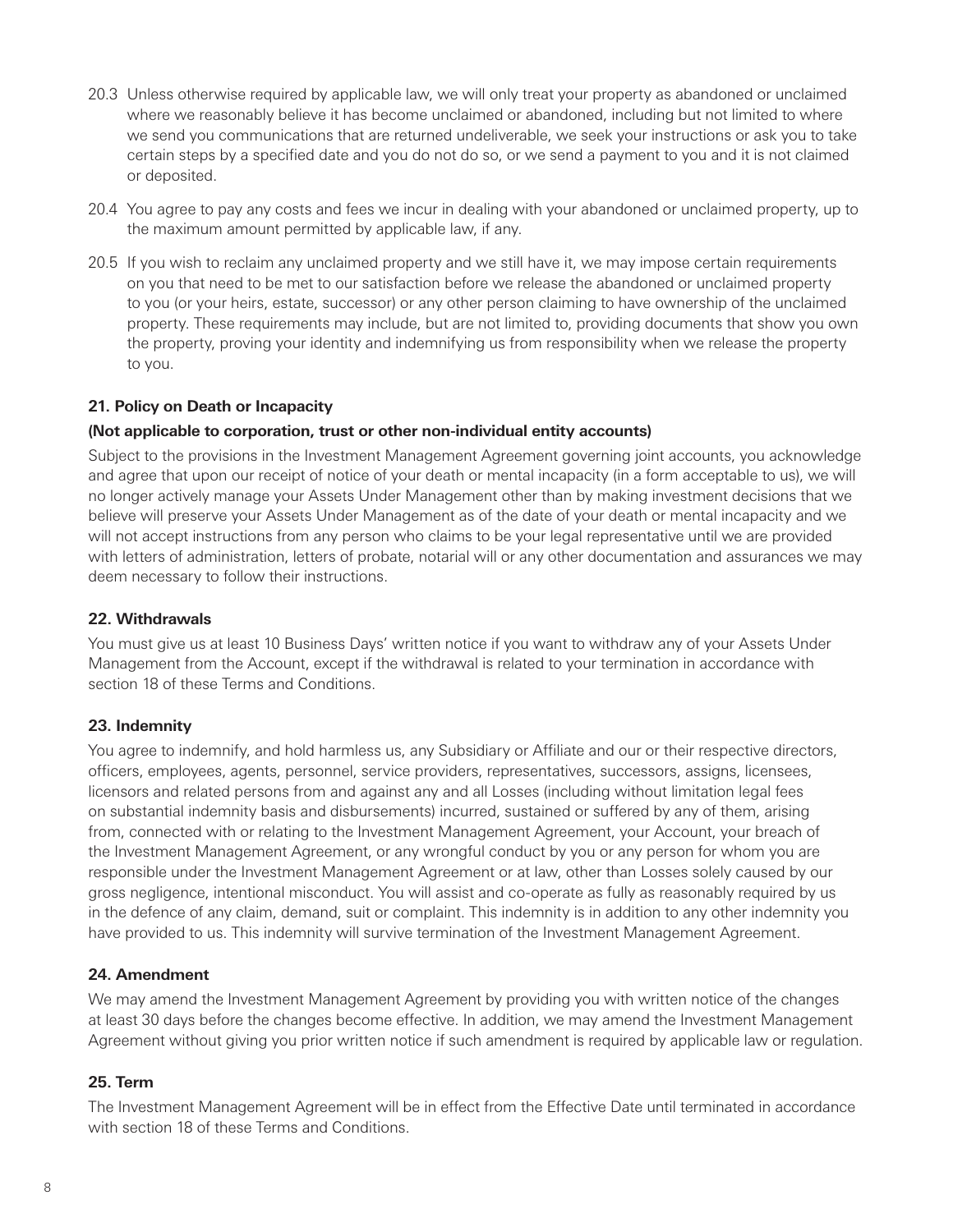- 20.3 Unless otherwise required by applicable law, we will only treat your property as abandoned or unclaimed where we reasonably believe it has become unclaimed or abandoned, including but not limited to where we send you communications that are returned undeliverable, we seek your instructions or ask you to take certain steps by a specified date and you do not do so, or we send a payment to you and it is not claimed or deposited.
- 20.4 You agree to pay any costs and fees we incur in dealing with your abandoned or unclaimed property, up to the maximum amount permitted by applicable law, if any.
- 20.5 If you wish to reclaim any unclaimed property and we still have it, we may impose certain requirements on you that need to be met to our satisfaction before we release the abandoned or unclaimed property to you (or your heirs, estate, successor) or any other person claiming to have ownership of the unclaimed property. These requirements may include, but are not limited to, providing documents that show you own the property, proving your identity and indemnifying us from responsibility when we release the property to you.

#### **21. Policy on Death or Incapacity**

#### **(Not applicable to corporation, trust or other non-individual entity accounts)**

Subject to the provisions in the Investment Management Agreement governing joint accounts, you acknowledge and agree that upon our receipt of notice of your death or mental incapacity (in a form acceptable to us), we will no longer actively manage your Assets Under Management other than by making investment decisions that we believe will preserve your Assets Under Management as of the date of your death or mental incapacity and we will not accept instructions from any person who claims to be your legal representative until we are provided with letters of administration, letters of probate, notarial will or any other documentation and assurances we may deem necessary to follow their instructions.

#### **22. Withdrawals**

You must give us at least 10 Business Days' written notice if you want to withdraw any of your Assets Under Management from the Account, except if the withdrawal is related to your termination in accordance with section 18 of these Terms and Conditions.

#### **23. Indemnity**

You agree to indemnify, and hold harmless us, any Subsidiary or Affiliate and our or their respective directors, officers, employees, agents, personnel, service providers, representatives, successors, assigns, licensees, licensors and related persons from and against any and all Losses (including without limitation legal fees on substantial indemnity basis and disbursements) incurred, sustained or suffered by any of them, arising from, connected with or relating to the Investment Management Agreement, your Account, your breach of the Investment Management Agreement, or any wrongful conduct by you or any person for whom you are responsible under the Investment Management Agreement or at law, other than Losses solely caused by our gross negligence, intentional misconduct. You will assist and co-operate as fully as reasonably required by us in the defence of any claim, demand, suit or complaint. This indemnity is in addition to any other indemnity you have provided to us. This indemnity will survive termination of the Investment Management Agreement.

#### **24. Amendment**

We may amend the Investment Management Agreement by providing you with written notice of the changes at least 30 days before the changes become effective. In addition, we may amend the Investment Management Agreement without giving you prior written notice if such amendment is required by applicable law or regulation.

#### **25. Term**

The Investment Management Agreement will be in effect from the Effective Date until terminated in accordance with section 18 of these Terms and Conditions.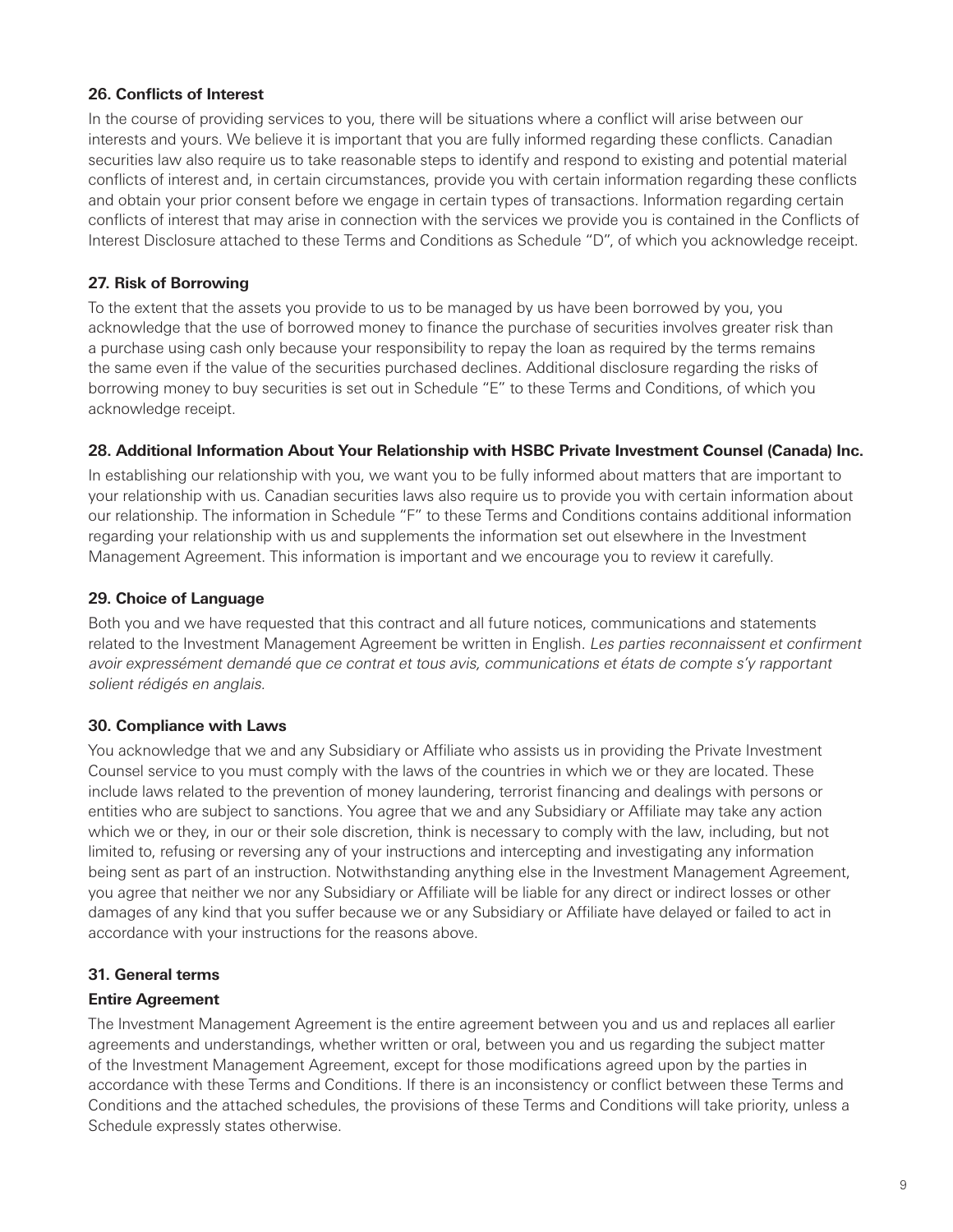### **26. Conflicts of Interest**

In the course of providing services to you, there will be situations where a conflict will arise between our interests and yours. We believe it is important that you are fully informed regarding these conflicts. Canadian securities law also require us to take reasonable steps to identify and respond to existing and potential material conflicts of interest and, in certain circumstances, provide you with certain information regarding these conflicts and obtain your prior consent before we engage in certain types of transactions. Information regarding certain conflicts of interest that may arise in connection with the services we provide you is contained in the Conflicts of Interest Disclosure attached to these Terms and Conditions as Schedule "D", of which you acknowledge receipt.

#### **27. Risk of Borrowing**

To the extent that the assets you provide to us to be managed by us have been borrowed by you, you acknowledge that the use of borrowed money to finance the purchase of securities involves greater risk than a purchase using cash only because your responsibility to repay the loan as required by the terms remains the same even if the value of the securities purchased declines. Additional disclosure regarding the risks of borrowing money to buy securities is set out in Schedule "E" to these Terms and Conditions, of which you acknowledge receipt.

#### **28. Additional Information About Your Relationship with HSBC Private Investment Counsel (Canada) Inc.**

In establishing our relationship with you, we want you to be fully informed about matters that are important to your relationship with us. Canadian securities laws also require us to provide you with certain information about our relationship. The information in Schedule "F" to these Terms and Conditions contains additional information regarding your relationship with us and supplements the information set out elsewhere in the Investment Management Agreement. This information is important and we encourage you to review it carefully.

#### **29. Choice of Language**

Both you and we have requested that this contract and all future notices, communications and statements related to the Investment Management Agreement be written in English. Les parties reconnaissent et confirment avoir expressément demandé que ce contrat et tous avis, communications et états de compte s'y rapportant solient rédigés en anglais.

#### **30. Compliance with Laws**

You acknowledge that we and any Subsidiary or Affiliate who assists us in providing the Private Investment Counsel service to you must comply with the laws of the countries in which we or they are located. These include laws related to the prevention of money laundering, terrorist financing and dealings with persons or entities who are subject to sanctions. You agree that we and any Subsidiary or Affiliate may take any action which we or they, in our or their sole discretion, think is necessary to comply with the law, including, but not limited to, refusing or reversing any of your instructions and intercepting and investigating any information being sent as part of an instruction. Notwithstanding anything else in the Investment Management Agreement, you agree that neither we nor any Subsidiary or Affiliate will be liable for any direct or indirect losses or other damages of any kind that you suffer because we or any Subsidiary or Affiliate have delayed or failed to act in accordance with your instructions for the reasons above.

#### **31. General terms**

#### **Entire Agreement**

The Investment Management Agreement is the entire agreement between you and us and replaces all earlier agreements and understandings, whether written or oral, between you and us regarding the subject matter of the Investment Management Agreement, except for those modifications agreed upon by the parties in accordance with these Terms and Conditions. If there is an inconsistency or conflict between these Terms and Conditions and the attached schedules, the provisions of these Terms and Conditions will take priority, unless a Schedule expressly states otherwise.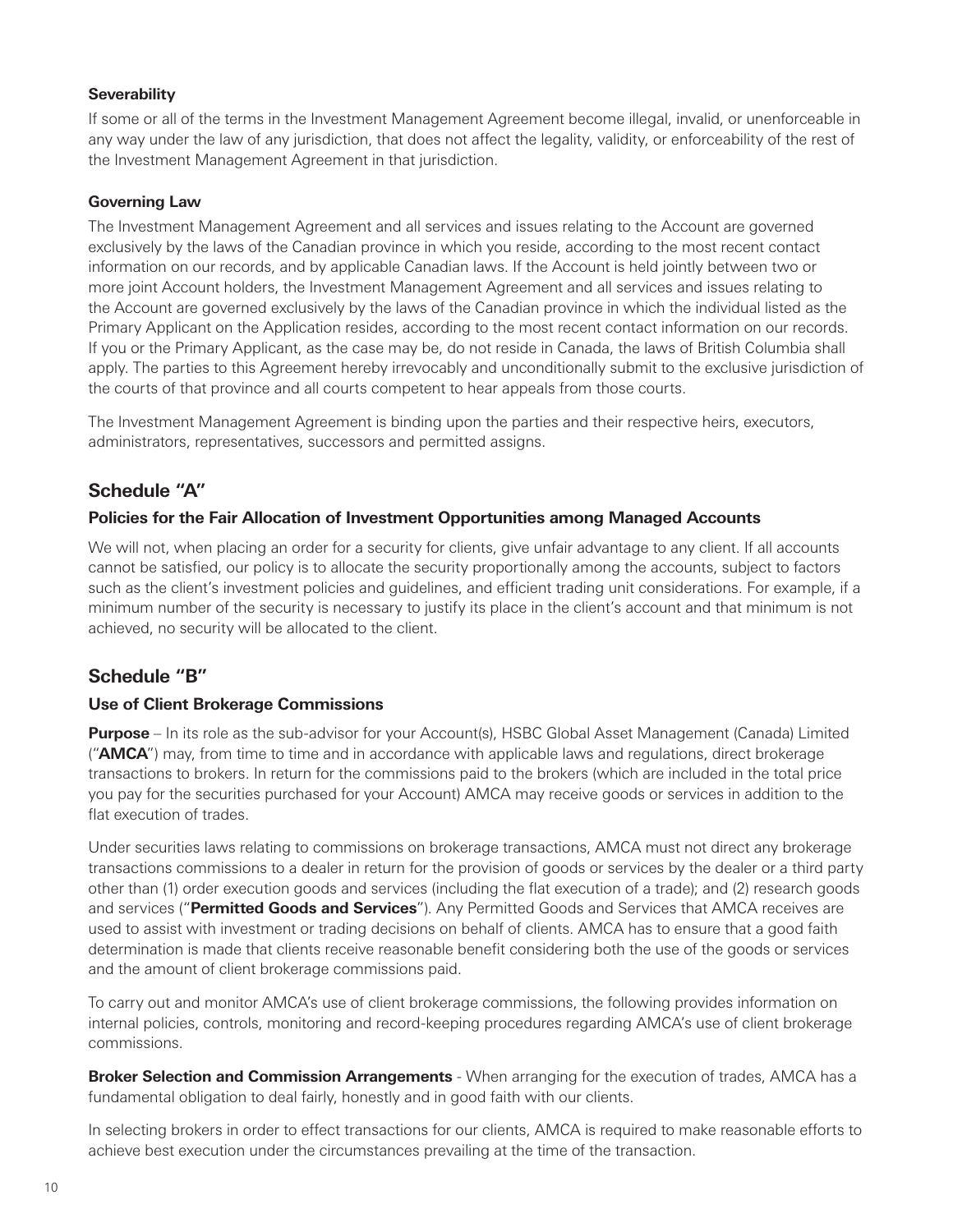#### <span id="page-13-0"></span>**Severability**

If some or all of the terms in the Investment Management Agreement become illegal, invalid, or unenforceable in any way under the law of any jurisdiction, that does not affect the legality, validity, or enforceability of the rest of the Investment Management Agreement in that jurisdiction.

#### **Governing Law**

The Investment Management Agreement and all services and issues relating to the Account are governed exclusively by the laws of the Canadian province in which you reside, according to the most recent contact information on our records, and by applicable Canadian laws. If the Account is held jointly between two or more joint Account holders, the Investment Management Agreement and all services and issues relating to the Account are governed exclusively by the laws of the Canadian province in which the individual listed as the Primary Applicant on the Application resides, according to the most recent contact information on our records. If you or the Primary Applicant, as the case may be, do not reside in Canada, the laws of British Columbia shall apply. The parties to this Agreement hereby irrevocably and unconditionally submit to the exclusive jurisdiction of the courts of that province and all courts competent to hear appeals from those courts.

The Investment Management Agreement is binding upon the parties and their respective heirs, executors, administrators, representatives, successors and permitted assigns.

# **Schedule "A"**

# **Policies for the Fair Allocation of Investment Opportunities among Managed Accounts**

We will not, when placing an order for a security for clients, give unfair advantage to any client. If all accounts cannot be satisfied, our policy is to allocate the security proportionally among the accounts, subject to factors such as the client's investment policies and guidelines, and efficient trading unit considerations. For example, if a minimum number of the security is necessary to justify its place in the client's account and that minimum is not achieved, no security will be allocated to the client.

# **Schedule "B"**

# **Use of Client Brokerage Commissions**

**Purpose** – In its role as the sub-advisor for your Account(s), HSBC Global Asset Management (Canada) Limited ("**AMCA**") may, from time to time and in accordance with applicable laws and regulations, direct brokerage transactions to brokers. In return for the commissions paid to the brokers (which are included in the total price you pay for the securities purchased for your Account) AMCA may receive goods or services in addition to the flat execution of trades.

Under securities laws relating to commissions on brokerage transactions, AMCA must not direct any brokerage transactions commissions to a dealer in return for the provision of goods or services by the dealer or a third party other than (1) order execution goods and services (including the flat execution of a trade); and (2) research goods and services ("**Permitted Goods and Services**"). Any Permitted Goods and Services that AMCA receives are used to assist with investment or trading decisions on behalf of clients. AMCA has to ensure that a good faith determination is made that clients receive reasonable benefit considering both the use of the goods or services and the amount of client brokerage commissions paid.

To carry out and monitor AMCA's use of client brokerage commissions, the following provides information on internal policies, controls, monitoring and record-keeping procedures regarding AMCA's use of client brokerage commissions.

**Broker Selection and Commission Arrangements** - When arranging for the execution of trades, AMCA has a fundamental obligation to deal fairly, honestly and in good faith with our clients.

In selecting brokers in order to effect transactions for our clients, AMCA is required to make reasonable efforts to achieve best execution under the circumstances prevailing at the time of the transaction.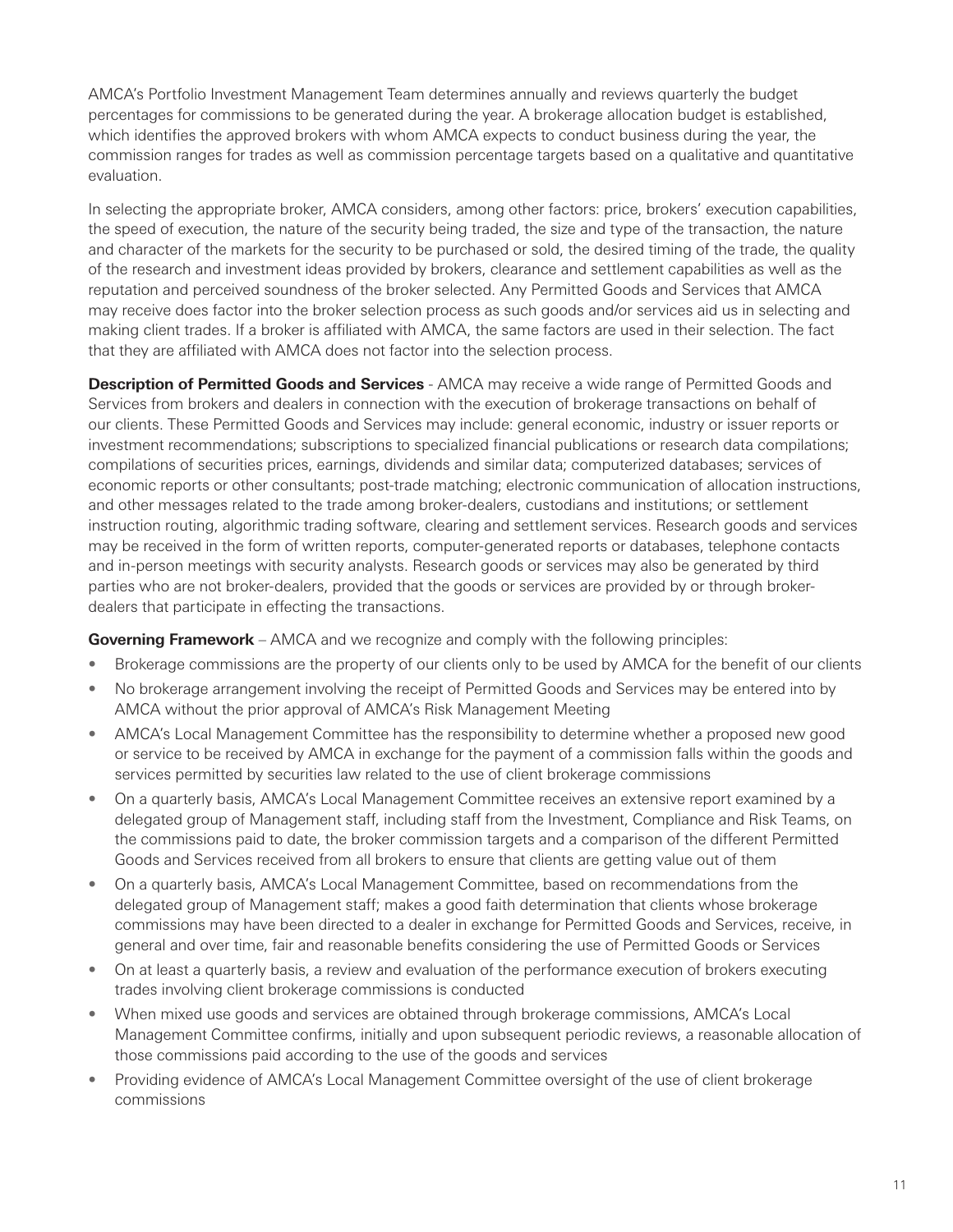AMCA's Portfolio Investment Management Team determines annually and reviews quarterly the budget percentages for commissions to be generated during the year. A brokerage allocation budget is established, which identifies the approved brokers with whom AMCA expects to conduct business during the year, the commission ranges for trades as well as commission percentage targets based on a qualitative and quantitative evaluation.

In selecting the appropriate broker, AMCA considers, among other factors: price, brokers' execution capabilities, the speed of execution, the nature of the security being traded, the size and type of the transaction, the nature and character of the markets for the security to be purchased or sold, the desired timing of the trade, the quality of the research and investment ideas provided by brokers, clearance and settlement capabilities as well as the reputation and perceived soundness of the broker selected. Any Permitted Goods and Services that AMCA may receive does factor into the broker selection process as such goods and/or services aid us in selecting and making client trades. If a broker is affiliated with AMCA, the same factors are used in their selection. The fact that they are affiliated with AMCA does not factor into the selection process.

**Description of Permitted Goods and Services** - AMCA may receive a wide range of Permitted Goods and Services from brokers and dealers in connection with the execution of brokerage transactions on behalf of our clients. These Permitted Goods and Services may include: general economic, industry or issuer reports or investment recommendations; subscriptions to specialized financial publications or research data compilations; compilations of securities prices, earnings, dividends and similar data; computerized databases; services of economic reports or other consultants; post-trade matching; electronic communication of allocation instructions, and other messages related to the trade among broker-dealers, custodians and institutions; or settlement instruction routing, algorithmic trading software, clearing and settlement services. Research goods and services may be received in the form of written reports, computer-generated reports or databases, telephone contacts and in-person meetings with security analysts. Research goods or services may also be generated by third parties who are not broker-dealers, provided that the goods or services are provided by or through brokerdealers that participate in effecting the transactions.

**Governing Framework** – AMCA and we recognize and comply with the following principles:

- Brokerage commissions are the property of our clients only to be used by AMCA for the benefit of our clients
- No brokerage arrangement involving the receipt of Permitted Goods and Services may be entered into by AMCA without the prior approval of AMCA's Risk Management Meeting
- AMCA's Local Management Committee has the responsibility to determine whether a proposed new good or service to be received by AMCA in exchange for the payment of a commission falls within the goods and services permitted by securities law related to the use of client brokerage commissions
- On a quarterly basis, AMCA's Local Management Committee receives an extensive report examined by a delegated group of Management staff, including staff from the Investment, Compliance and Risk Teams, on the commissions paid to date, the broker commission targets and a comparison of the different Permitted Goods and Services received from all brokers to ensure that clients are getting value out of them
- On a quarterly basis, AMCA's Local Management Committee, based on recommendations from the delegated group of Management staff; makes a good faith determination that clients whose brokerage commissions may have been directed to a dealer in exchange for Permitted Goods and Services, receive, in general and over time, fair and reasonable benefits considering the use of Permitted Goods or Services
- On at least a quarterly basis, a review and evaluation of the performance execution of brokers executing trades involving client brokerage commissions is conducted
- When mixed use goods and services are obtained through brokerage commissions, AMCA's Local Management Committee confirms, initially and upon subsequent periodic reviews, a reasonable allocation of those commissions paid according to the use of the goods and services
- Providing evidence of AMCA's Local Management Committee oversight of the use of client brokerage commissions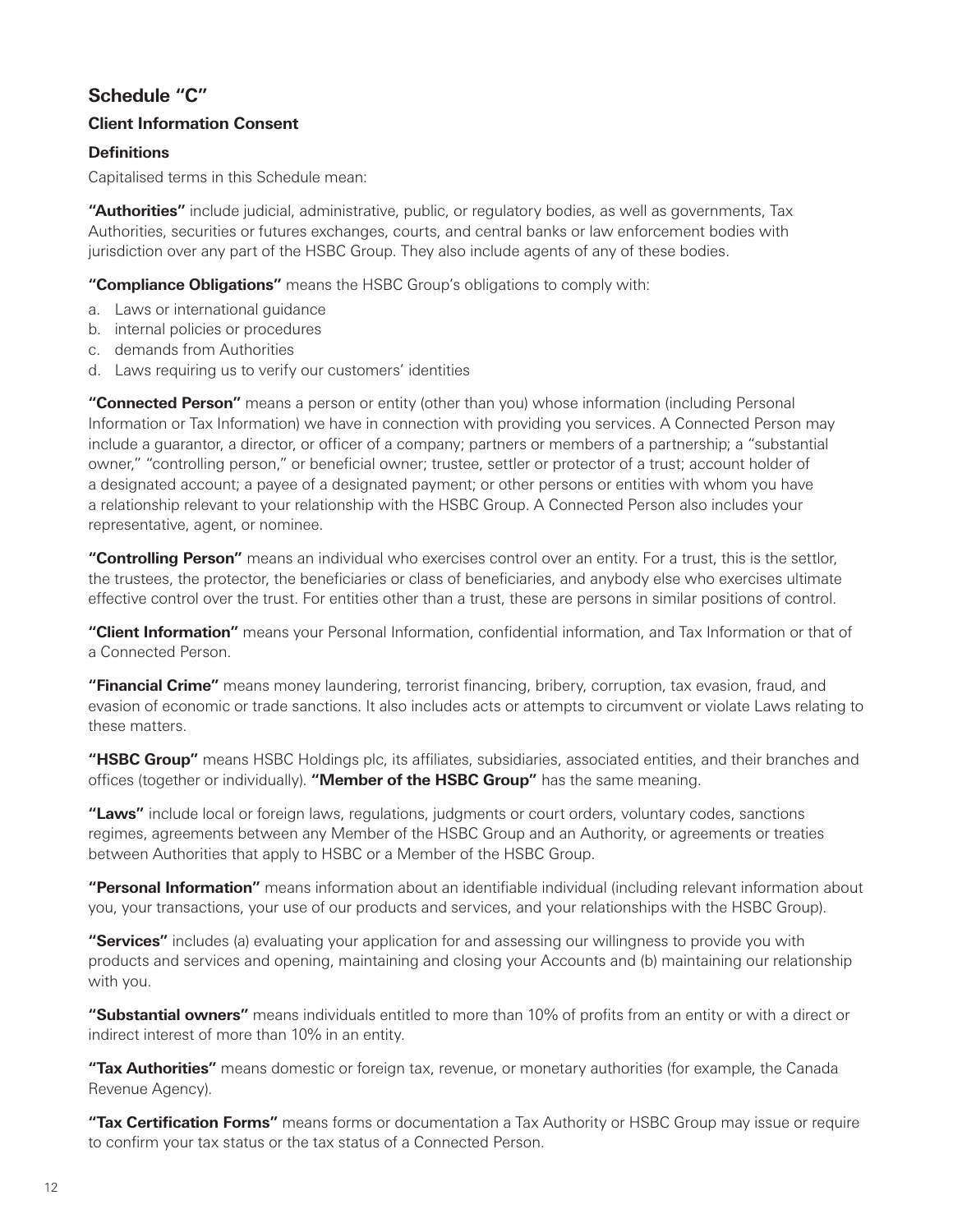# <span id="page-15-0"></span>**Schedule "C"**

# **Client Information Consent**

# **Definitions**

Capitalised terms in this Schedule mean:

**"Authorities"** include judicial, administrative, public, or regulatory bodies, as well as governments, Tax Authorities, securities or futures exchanges, courts, and central banks or law enforcement bodies with jurisdiction over any part of the HSBC Group. They also include agents of any of these bodies.

**"Compliance Obligations"** means the HSBC Group's obligations to comply with:

- a. Laws or international guidance
- b. internal policies or procedures
- c. demands from Authorities
- d. Laws requiring us to verify our customers' identities

**"Connected Person"** means a person or entity (other than you) whose information (including Personal Information or Tax Information) we have in connection with providing you services. A Connected Person may include a guarantor, a director, or officer of a company; partners or members of a partnership; a "substantial owner," "controlling person," or beneficial owner; trustee, settler or protector of a trust; account holder of a designated account; a payee of a designated payment; or other persons or entities with whom you have a relationship relevant to your relationship with the HSBC Group. A Connected Person also includes your representative, agent, or nominee.

**"Controlling Person"** means an individual who exercises control over an entity. For a trust, this is the settlor, the trustees, the protector, the beneficiaries or class of beneficiaries, and anybody else who exercises ultimate effective control over the trust. For entities other than a trust, these are persons in similar positions of control.

**"Client Information"** means your Personal Information, confidential information, and Tax Information or that of a Connected Person.

**"Financial Crime"** means money laundering, terrorist financing, bribery, corruption, tax evasion, fraud, and evasion of economic or trade sanctions. It also includes acts or attempts to circumvent or violate Laws relating to these matters.

**"HSBC Group"** means HSBC Holdings plc, its affiliates, subsidiaries, associated entities, and their branches and offices (together or individually). **"Member of the HSBC Group"** has the same meaning.

**"Laws"** include local or foreign laws, regulations, judgments or court orders, voluntary codes, sanctions regimes, agreements between any Member of the HSBC Group and an Authority, or agreements or treaties between Authorities that apply to HSBC or a Member of the HSBC Group.

**"Personal Information"** means information about an identifiable individual (including relevant information about you, your transactions, your use of our products and services, and your relationships with the HSBC Group).

**"Services"** includes (a) evaluating your application for and assessing our willingness to provide you with products and services and opening, maintaining and closing your Accounts and (b) maintaining our relationship with you.

**"Substantial owners"** means individuals entitled to more than 10% of profits from an entity or with a direct or indirect interest of more than 10% in an entity.

**"Tax Authorities"** means domestic or foreign tax, revenue, or monetary authorities (for example, the Canada Revenue Agency).

**"Tax Certification Forms"** means forms or documentation a Tax Authority or HSBC Group may issue or require to confirm your tax status or the tax status of a Connected Person.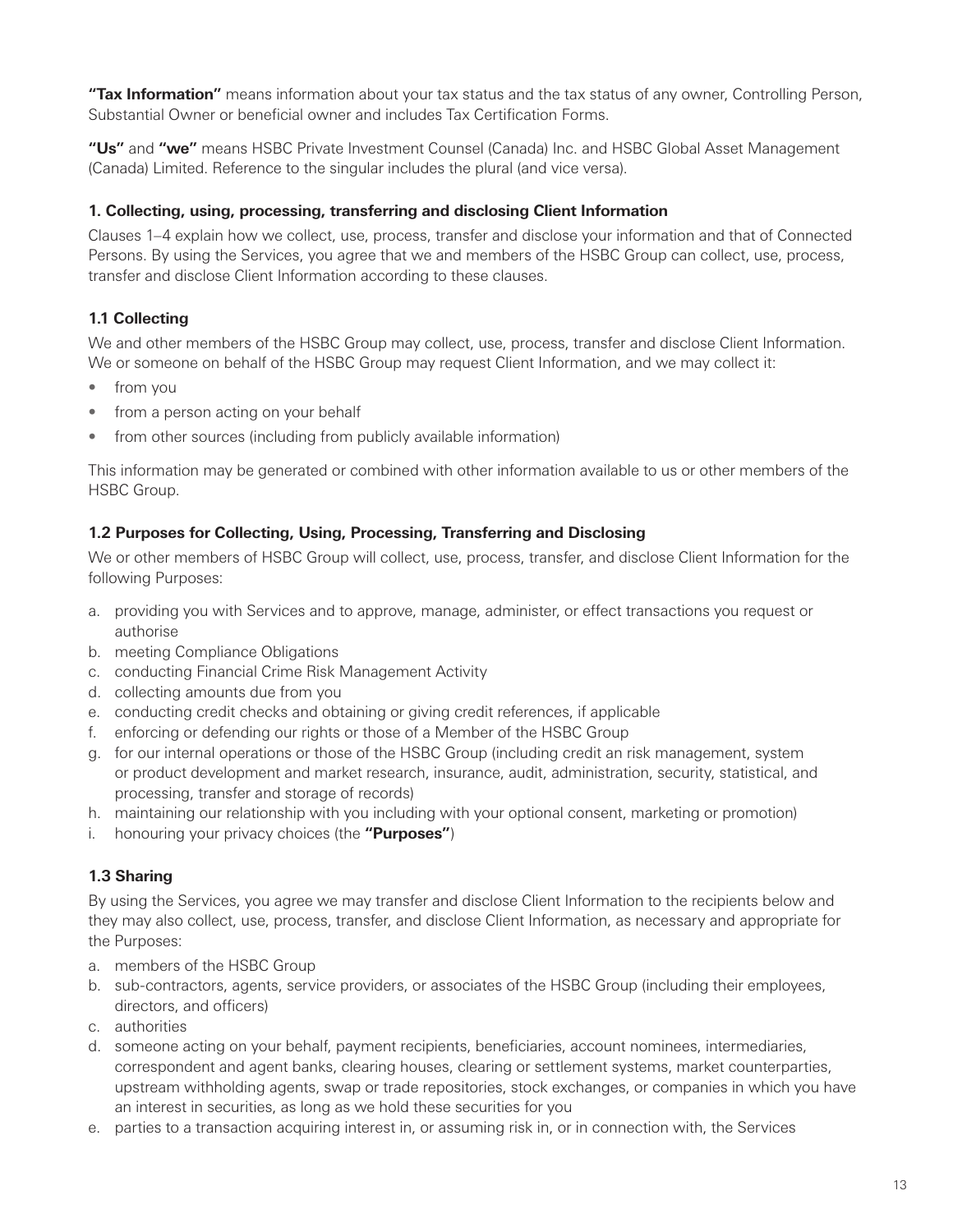**"Tax Information"** means information about your tax status and the tax status of any owner, Controlling Person, Substantial Owner or beneficial owner and includes Tax Certification Forms.

**"Us"** and **"we"** means HSBC Private Investment Counsel (Canada) Inc. and HSBC Global Asset Management (Canada) Limited. Reference to the singular includes the plural (and vice versa).

# **1. Collecting, using, processing, transferring and disclosing Client Information**

Clauses 1–4 explain how we collect, use, process, transfer and disclose your information and that of Connected Persons. By using the Services, you agree that we and members of the HSBC Group can collect, use, process, transfer and disclose Client Information according to these clauses.

# **1.1 Collecting**

We and other members of the HSBC Group may collect, use, process, transfer and disclose Client Information. We or someone on behalf of the HSBC Group may request Client Information, and we may collect it:

- from you
- from a person acting on your behalf
- from other sources (including from publicly available information)

This information may be generated or combined with other information available to us or other members of the HSBC Group.

# **1.2 Purposes for Collecting, Using, Processing, Transferring and Disclosing**

We or other members of HSBC Group will collect, use, process, transfer, and disclose Client Information for the following Purposes:

- a. providing you with Services and to approve, manage, administer, or effect transactions you request or authorise
- b. meeting Compliance Obligations
- c. conducting Financial Crime Risk Management Activity
- d. collecting amounts due from you
- e. conducting credit checks and obtaining or giving credit references, if applicable
- f. enforcing or defending our rights or those of a Member of the HSBC Group
- g. for our internal operations or those of the HSBC Group (including credit an risk management, system or product development and market research, insurance, audit, administration, security, statistical, and processing, transfer and storage of records)
- h. maintaining our relationship with you including with your optional consent, marketing or promotion)
- i. honouring your privacy choices (the **"Purposes"**)

# **1.3 Sharing**

By using the Services, you agree we may transfer and disclose Client Information to the recipients below and they may also collect, use, process, transfer, and disclose Client Information, as necessary and appropriate for the Purposes:

- a. members of the HSBC Group
- b. sub-contractors, agents, service providers, or associates of the HSBC Group (including their employees, directors, and officers)
- c. authorities
- d. someone acting on your behalf, payment recipients, beneficiaries, account nominees, intermediaries, correspondent and agent banks, clearing houses, clearing or settlement systems, market counterparties, upstream withholding agents, swap or trade repositories, stock exchanges, or companies in which you have an interest in securities, as long as we hold these securities for you
- e. parties to a transaction acquiring interest in, or assuming risk in, or in connection with, the Services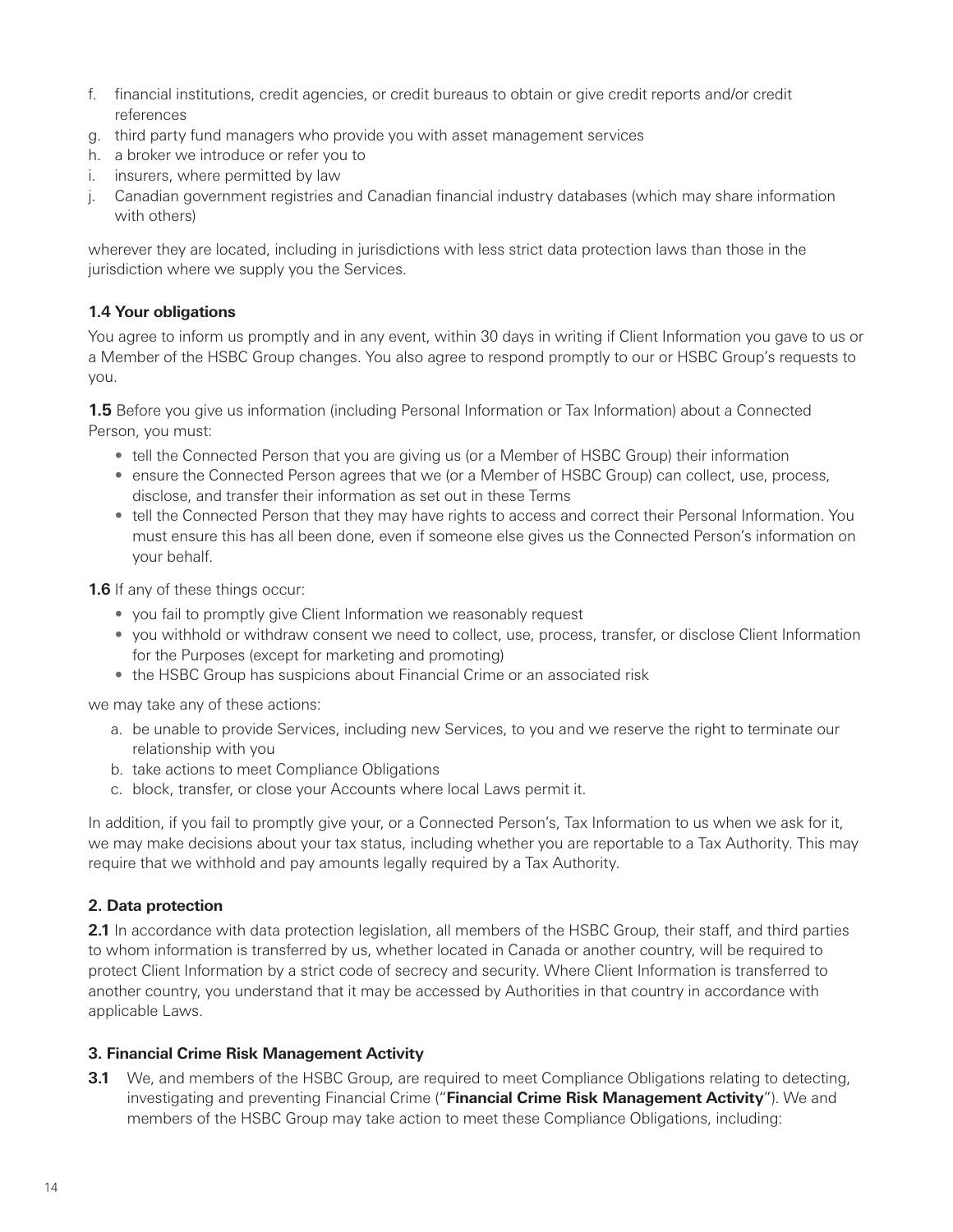- f. financial institutions, credit agencies, or credit bureaus to obtain or give credit reports and/or credit references
- g. third party fund managers who provide you with asset management services
- h. a broker we introduce or refer you to
- i. insurers, where permitted by law
- j. Canadian government registries and Canadian financial industry databases (which may share information with others)

wherever they are located, including in jurisdictions with less strict data protection laws than those in the jurisdiction where we supply you the Services.

# **1.4 Your obligations**

You agree to inform us promptly and in any event, within 30 days in writing if Client Information you gave to us or a Member of the HSBC Group changes. You also agree to respond promptly to our or HSBC Group's requests to you.

**1.5** Before you give us information (including Personal Information or Tax Information) about a Connected Person, you must:

- tell the Connected Person that you are giving us (or a Member of HSBC Group) their information
- ensure the Connected Person agrees that we (or a Member of HSBC Group) can collect, use, process, disclose, and transfer their information as set out in these Terms
- tell the Connected Person that they may have rights to access and correct their Personal Information. You must ensure this has all been done, even if someone else gives us the Connected Person's information on your behalf.

**1.6** If any of these things occur:

- you fail to promptly give Client Information we reasonably request
- you withhold or withdraw consent we need to collect, use, process, transfer, or disclose Client Information for the Purposes (except for marketing and promoting)
- the HSBC Group has suspicions about Financial Crime or an associated risk

we may take any of these actions:

- a. be unable to provide Services, including new Services, to you and we reserve the right to terminate our relationship with you
- b. take actions to meet Compliance Obligations
- c. block, transfer, or close your Accounts where local Laws permit it.

In addition, if you fail to promptly give your, or a Connected Person's, Tax Information to us when we ask for it, we may make decisions about your tax status, including whether you are reportable to a Tax Authority. This may require that we withhold and pay amounts legally required by a Tax Authority.

# **2. Data protection**

**2.1** In accordance with data protection legislation, all members of the HSBC Group, their staff, and third parties to whom information is transferred by us, whether located in Canada or another country, will be required to protect Client Information by a strict code of secrecy and security. Where Client Information is transferred to another country, you understand that it may be accessed by Authorities in that country in accordance with applicable Laws.

#### **3. Financial Crime Risk Management Activity**

**3.1** We, and members of the HSBC Group, are required to meet Compliance Obligations relating to detecting, investigating and preventing Financial Crime ("**Financial Crime Risk Management Activity**"). We and members of the HSBC Group may take action to meet these Compliance Obligations, including: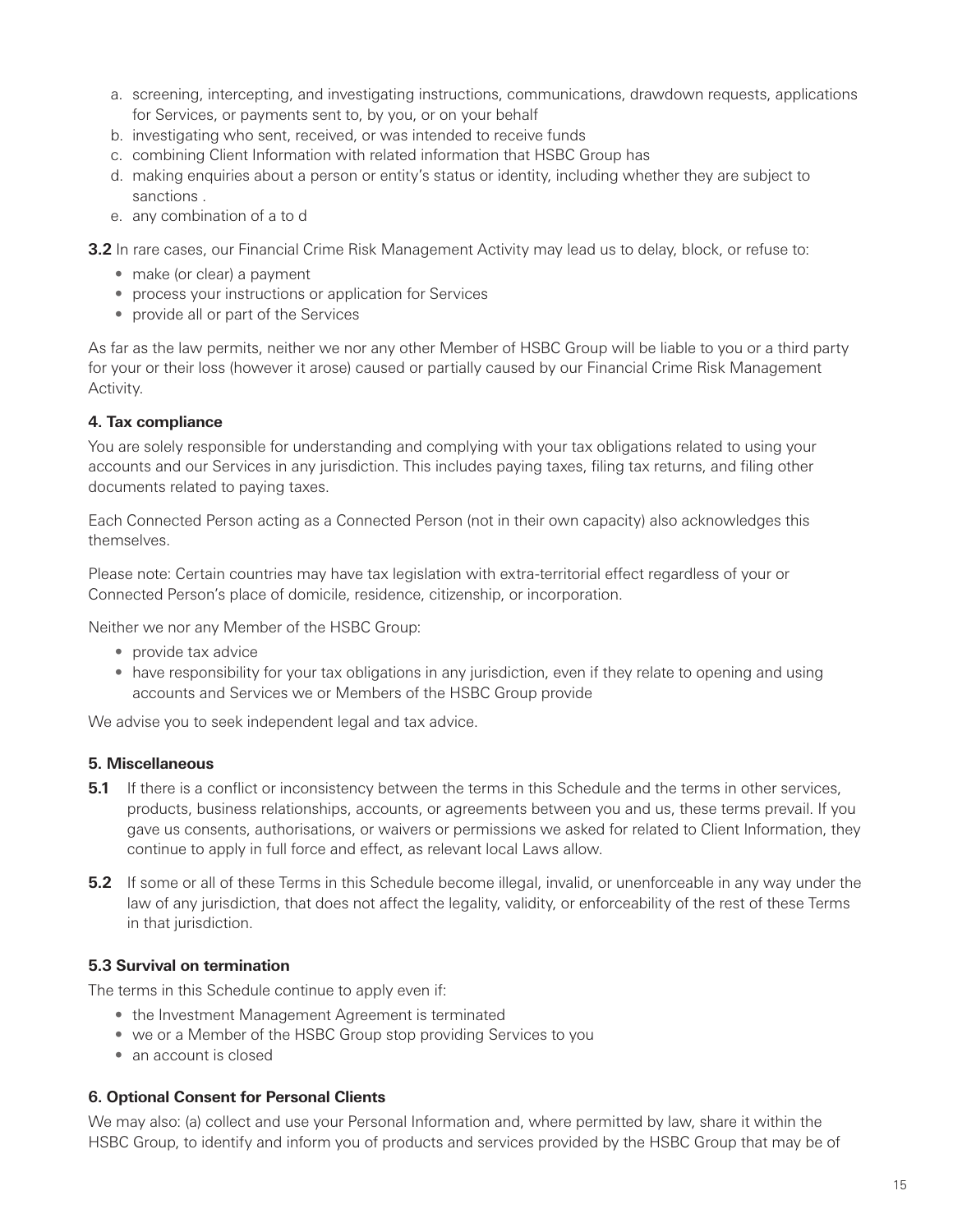- a. screening, intercepting, and investigating instructions, communications, drawdown requests, applications for Services, or payments sent to, by you, or on your behalf
- b. investigating who sent, received, or was intended to receive funds
- c. combining Client Information with related information that HSBC Group has
- d. making enquiries about a person or entity's status or identity, including whether they are subject to sanctions .
- e. any combination of a to d

**3.2** In rare cases, our Financial Crime Risk Management Activity may lead us to delay, block, or refuse to:

- make (or clear) a payment
- process your instructions or application for Services
- provide all or part of the Services

As far as the law permits, neither we nor any other Member of HSBC Group will be liable to you or a third party for your or their loss (however it arose) caused or partially caused by our Financial Crime Risk Management Activity.

# **4. Tax compliance**

You are solely responsible for understanding and complying with your tax obligations related to using your accounts and our Services in any jurisdiction. This includes paying taxes, filing tax returns, and filing other documents related to paying taxes.

Each Connected Person acting as a Connected Person (not in their own capacity) also acknowledges this themselves.

Please note: Certain countries may have tax legislation with extra-territorial effect regardless of your or Connected Person's place of domicile, residence, citizenship, or incorporation.

Neither we nor any Member of the HSBC Group:

- provide tax advice
- have responsibility for your tax obligations in any jurisdiction, even if they relate to opening and using accounts and Services we or Members of the HSBC Group provide

We advise you to seek independent legal and tax advice.

#### **5. Miscellaneous**

- **5.1** If there is a conflict or inconsistency between the terms in this Schedule and the terms in other services, products, business relationships, accounts, or agreements between you and us, these terms prevail. If you gave us consents, authorisations, or waivers or permissions we asked for related to Client Information, they continue to apply in full force and effect, as relevant local Laws allow.
- **5.2** If some or all of these Terms in this Schedule become illegal, invalid, or unenforceable in any way under the law of any jurisdiction, that does not affect the legality, validity, or enforceability of the rest of these Terms in that jurisdiction.

#### **5.3 Survival on termination**

The terms in this Schedule continue to apply even if:

- the Investment Management Agreement is terminated
- we or a Member of the HSBC Group stop providing Services to you
- an account is closed

#### **6. Optional Consent for Personal Clients**

We may also: (a) collect and use your Personal Information and, where permitted by law, share it within the HSBC Group, to identify and inform you of products and services provided by the HSBC Group that may be of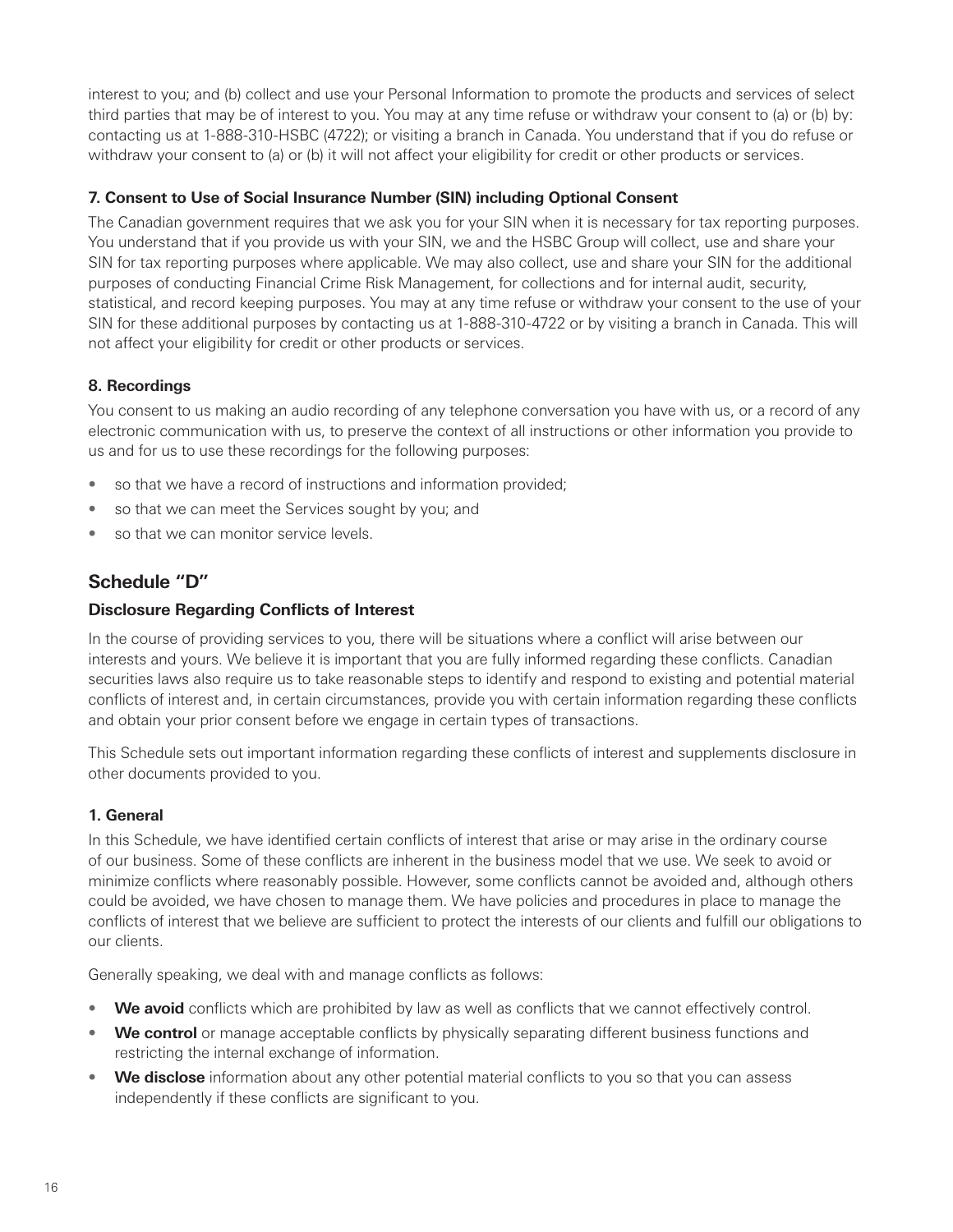<span id="page-19-0"></span>interest to you; and (b) collect and use your Personal Information to promote the products and services of select third parties that may be of interest to you. You may at any time refuse or withdraw your consent to (a) or (b) by: contacting us at 1-888-310-HSBC (4722); or visiting a branch in Canada. You understand that if you do refuse or withdraw your consent to (a) or (b) it will not affect your eligibility for credit or other products or services.

# **7. Consent to Use of Social Insurance Number (SIN) including Optional Consent**

The Canadian government requires that we ask you for your SIN when it is necessary for tax reporting purposes. You understand that if you provide us with your SIN, we and the HSBC Group will collect, use and share your SIN for tax reporting purposes where applicable. We may also collect, use and share your SIN for the additional purposes of conducting Financial Crime Risk Management, for collections and for internal audit, security, statistical, and record keeping purposes. You may at any time refuse or withdraw your consent to the use of your SIN for these additional purposes by contacting us at 1-888-310-4722 or by visiting a branch in Canada. This will not affect your eligibility for credit or other products or services.

#### **8. Recordings**

You consent to us making an audio recording of any telephone conversation you have with us, or a record of any electronic communication with us, to preserve the context of all instructions or other information you provide to us and for us to use these recordings for the following purposes:

- so that we have a record of instructions and information provided;
- so that we can meet the Services sought by you; and
- so that we can monitor service levels.

# **Schedule "D"**

#### **Disclosure Regarding Conflicts of Interest**

In the course of providing services to you, there will be situations where a conflict will arise between our interests and yours. We believe it is important that you are fully informed regarding these conflicts. Canadian securities laws also require us to take reasonable steps to identify and respond to existing and potential material conflicts of interest and, in certain circumstances, provide you with certain information regarding these conflicts and obtain your prior consent before we engage in certain types of transactions.

This Schedule sets out important information regarding these conflicts of interest and supplements disclosure in other documents provided to you.

#### **1. General**

In this Schedule, we have identified certain conflicts of interest that arise or may arise in the ordinary course of our business. Some of these conflicts are inherent in the business model that we use. We seek to avoid or minimize conflicts where reasonably possible. However, some conflicts cannot be avoided and, although others could be avoided, we have chosen to manage them. We have policies and procedures in place to manage the conflicts of interest that we believe are sufficient to protect the interests of our clients and fulfill our obligations to our clients.

Generally speaking, we deal with and manage conflicts as follows:

- We avoid conflicts which are prohibited by law as well as conflicts that we cannot effectively control.
- **We control** or manage acceptable conflicts by physically separating different business functions and restricting the internal exchange of information.
- **We disclose** information about any other potential material conflicts to you so that you can assess independently if these conflicts are significant to you.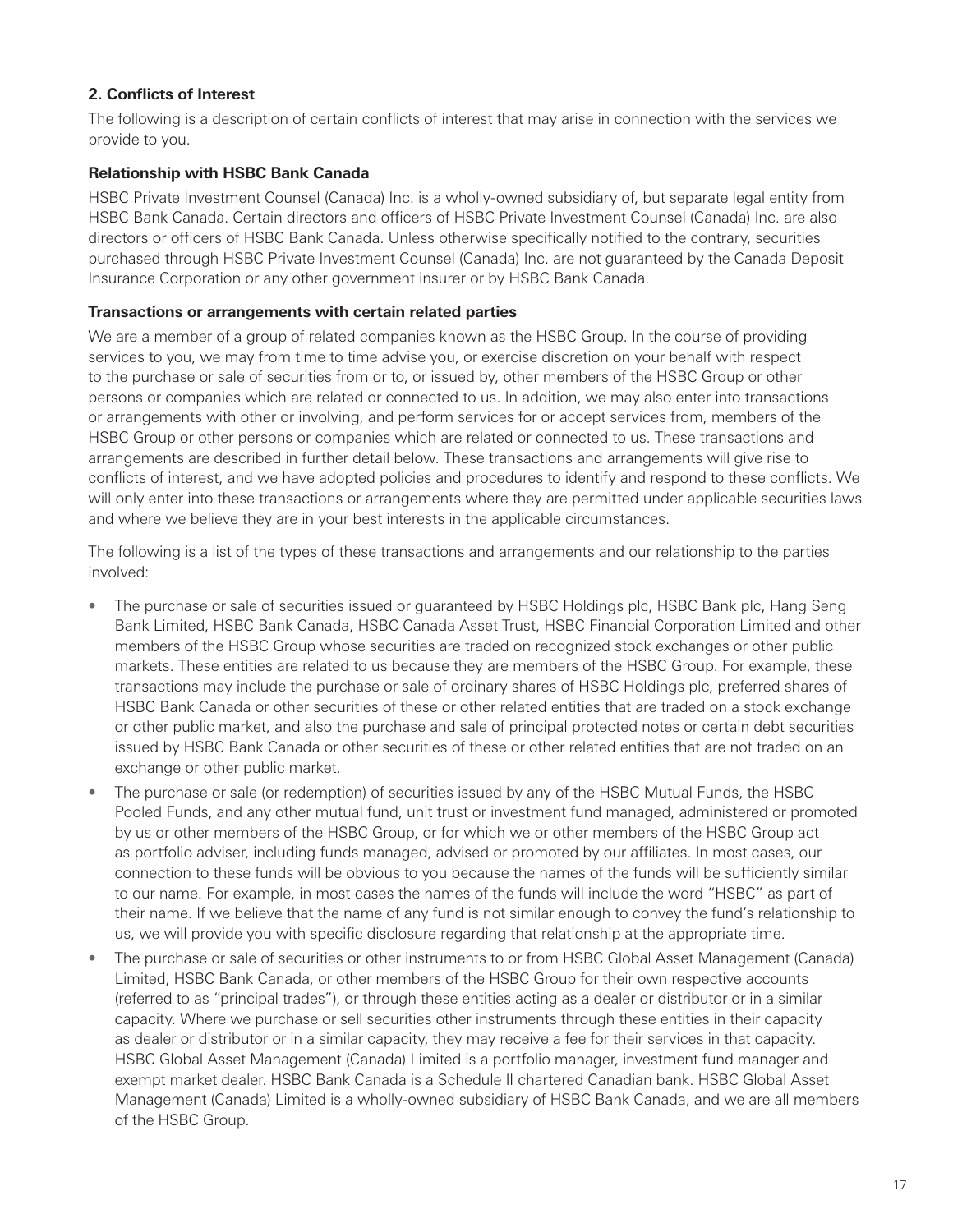### **2. Conflicts of Interest**

The following is a description of certain conflicts of interest that may arise in connection with the services we provide to you.

#### **Relationship with HSBC Bank Canada**

HSBC Private Investment Counsel (Canada) Inc. is a wholly-owned subsidiary of, but separate legal entity from HSBC Bank Canada. Certain directors and officers of HSBC Private Investment Counsel (Canada) Inc. are also directors or officers of HSBC Bank Canada. Unless otherwise specifically notified to the contrary, securities purchased through HSBC Private Investment Counsel (Canada) Inc. are not guaranteed by the Canada Deposit Insurance Corporation or any other government insurer or by HSBC Bank Canada.

#### **Transactions or arrangements with certain related parties**

We are a member of a group of related companies known as the HSBC Group. In the course of providing services to you, we may from time to time advise you, or exercise discretion on your behalf with respect to the purchase or sale of securities from or to, or issued by, other members of the HSBC Group or other persons or companies which are related or connected to us. In addition, we may also enter into transactions or arrangements with other or involving, and perform services for or accept services from, members of the HSBC Group or other persons or companies which are related or connected to us. These transactions and arrangements are described in further detail below. These transactions and arrangements will give rise to conflicts of interest, and we have adopted policies and procedures to identify and respond to these conflicts. We will only enter into these transactions or arrangements where they are permitted under applicable securities laws and where we believe they are in your best interests in the applicable circumstances.

The following is a list of the types of these transactions and arrangements and our relationship to the parties involved:

- The purchase or sale of securities issued or guaranteed by HSBC Holdings plc, HSBC Bank plc, Hang Seng Bank Limited, HSBC Bank Canada, HSBC Canada Asset Trust, HSBC Financial Corporation Limited and other members of the HSBC Group whose securities are traded on recognized stock exchanges or other public markets. These entities are related to us because they are members of the HSBC Group. For example, these transactions may include the purchase or sale of ordinary shares of HSBC Holdings plc, preferred shares of HSBC Bank Canada or other securities of these or other related entities that are traded on a stock exchange or other public market, and also the purchase and sale of principal protected notes or certain debt securities issued by HSBC Bank Canada or other securities of these or other related entities that are not traded on an exchange or other public market.
- The purchase or sale (or redemption) of securities issued by any of the HSBC Mutual Funds, the HSBC Pooled Funds, and any other mutual fund, unit trust or investment fund managed, administered or promoted by us or other members of the HSBC Group, or for which we or other members of the HSBC Group act as portfolio adviser, including funds managed, advised or promoted by our affiliates. In most cases, our connection to these funds will be obvious to you because the names of the funds will be sufficiently similar to our name. For example, in most cases the names of the funds will include the word "HSBC" as part of their name. If we believe that the name of any fund is not similar enough to convey the fund's relationship to us, we will provide you with specific disclosure regarding that relationship at the appropriate time.
- The purchase or sale of securities or other instruments to or from HSBC Global Asset Management (Canada) Limited, HSBC Bank Canada, or other members of the HSBC Group for their own respective accounts (referred to as "principal trades"), or through these entities acting as a dealer or distributor or in a similar capacity. Where we purchase or sell securities other instruments through these entities in their capacity as dealer or distributor or in a similar capacity, they may receive a fee for their services in that capacity. HSBC Global Asset Management (Canada) Limited is a portfolio manager, investment fund manager and exempt market dealer. HSBC Bank Canada is a Schedule II chartered Canadian bank. HSBC Global Asset Management (Canada) Limited is a wholly-owned subsidiary of HSBC Bank Canada, and we are all members of the HSBC Group.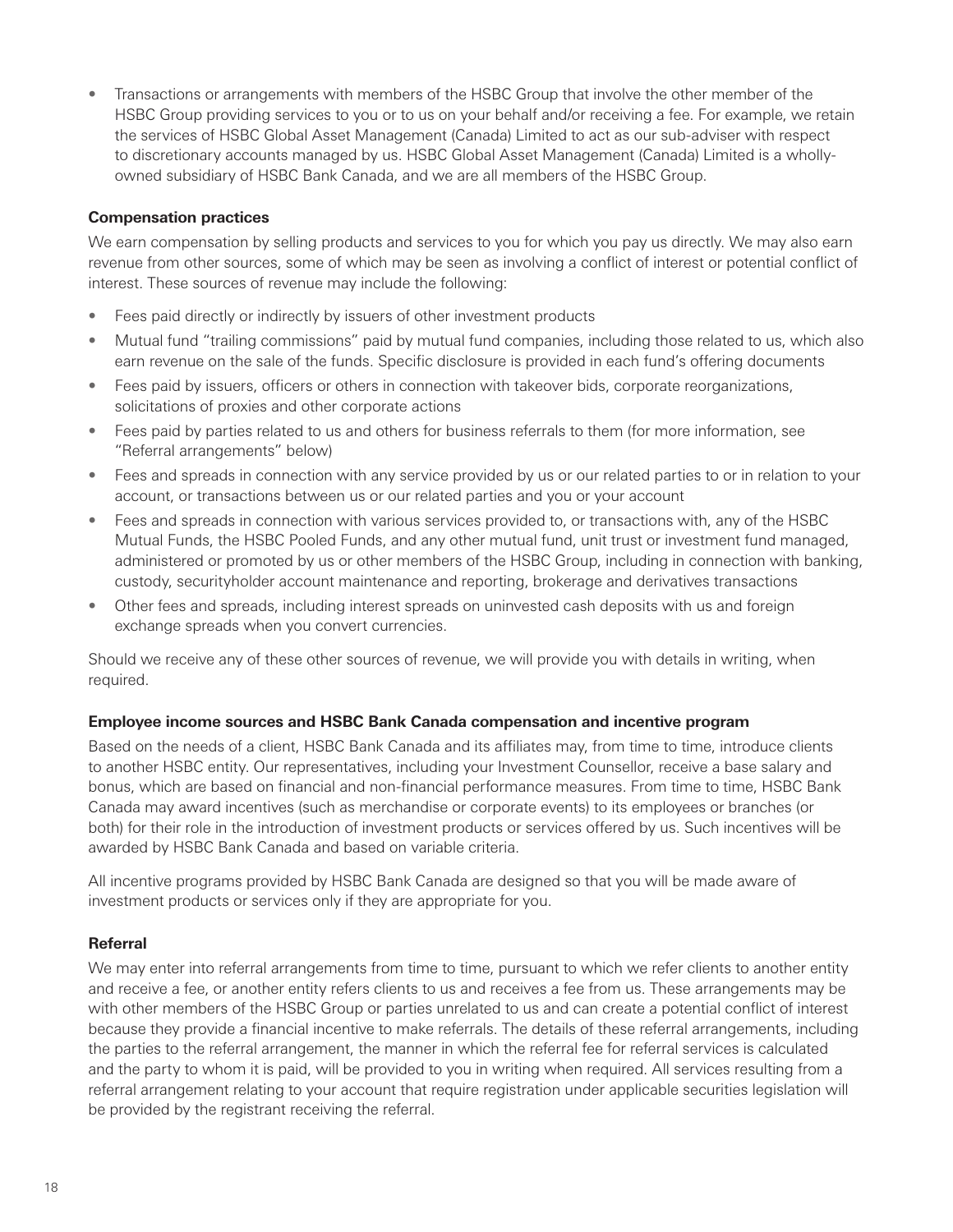• Transactions or arrangements with members of the HSBC Group that involve the other member of the HSBC Group providing services to you or to us on your behalf and/or receiving a fee. For example, we retain the services of HSBC Global Asset Management (Canada) Limited to act as our sub-adviser with respect to discretionary accounts managed by us. HSBC Global Asset Management (Canada) Limited is a whollyowned subsidiary of HSBC Bank Canada, and we are all members of the HSBC Group.

#### **Compensation practices**

We earn compensation by selling products and services to you for which you pay us directly. We may also earn revenue from other sources, some of which may be seen as involving a conflict of interest or potential conflict of interest. These sources of revenue may include the following:

- Fees paid directly or indirectly by issuers of other investment products
- Mutual fund "trailing commissions" paid by mutual fund companies, including those related to us, which also earn revenue on the sale of the funds. Specific disclosure is provided in each fund's offering documents
- Fees paid by issuers, officers or others in connection with takeover bids, corporate reorganizations, solicitations of proxies and other corporate actions
- Fees paid by parties related to us and others for business referrals to them (for more information, see "Referral arrangements" below)
- Fees and spreads in connection with any service provided by us or our related parties to or in relation to your account, or transactions between us or our related parties and you or your account
- Fees and spreads in connection with various services provided to, or transactions with, any of the HSBC Mutual Funds, the HSBC Pooled Funds, and any other mutual fund, unit trust or investment fund managed, administered or promoted by us or other members of the HSBC Group, including in connection with banking, custody, securityholder account maintenance and reporting, brokerage and derivatives transactions
- Other fees and spreads, including interest spreads on uninvested cash deposits with us and foreign exchange spreads when you convert currencies.

Should we receive any of these other sources of revenue, we will provide you with details in writing, when required.

#### **Employee income sources and HSBC Bank Canada compensation and incentive program**

Based on the needs of a client, HSBC Bank Canada and its affiliates may, from time to time, introduce clients to another HSBC entity. Our representatives, including your Investment Counsellor, receive a base salary and bonus, which are based on financial and non-financial performance measures. From time to time, HSBC Bank Canada may award incentives (such as merchandise or corporate events) to its employees or branches (or both) for their role in the introduction of investment products or services offered by us. Such incentives will be awarded by HSBC Bank Canada and based on variable criteria.

All incentive programs provided by HSBC Bank Canada are designed so that you will be made aware of investment products or services only if they are appropriate for you.

### **Referral**

We may enter into referral arrangements from time to time, pursuant to which we refer clients to another entity and receive a fee, or another entity refers clients to us and receives a fee from us. These arrangements may be with other members of the HSBC Group or parties unrelated to us and can create a potential conflict of interest because they provide a financial incentive to make referrals. The details of these referral arrangements, including the parties to the referral arrangement, the manner in which the referral fee for referral services is calculated and the party to whom it is paid, will be provided to you in writing when required. All services resulting from a referral arrangement relating to your account that require registration under applicable securities legislation will be provided by the registrant receiving the referral.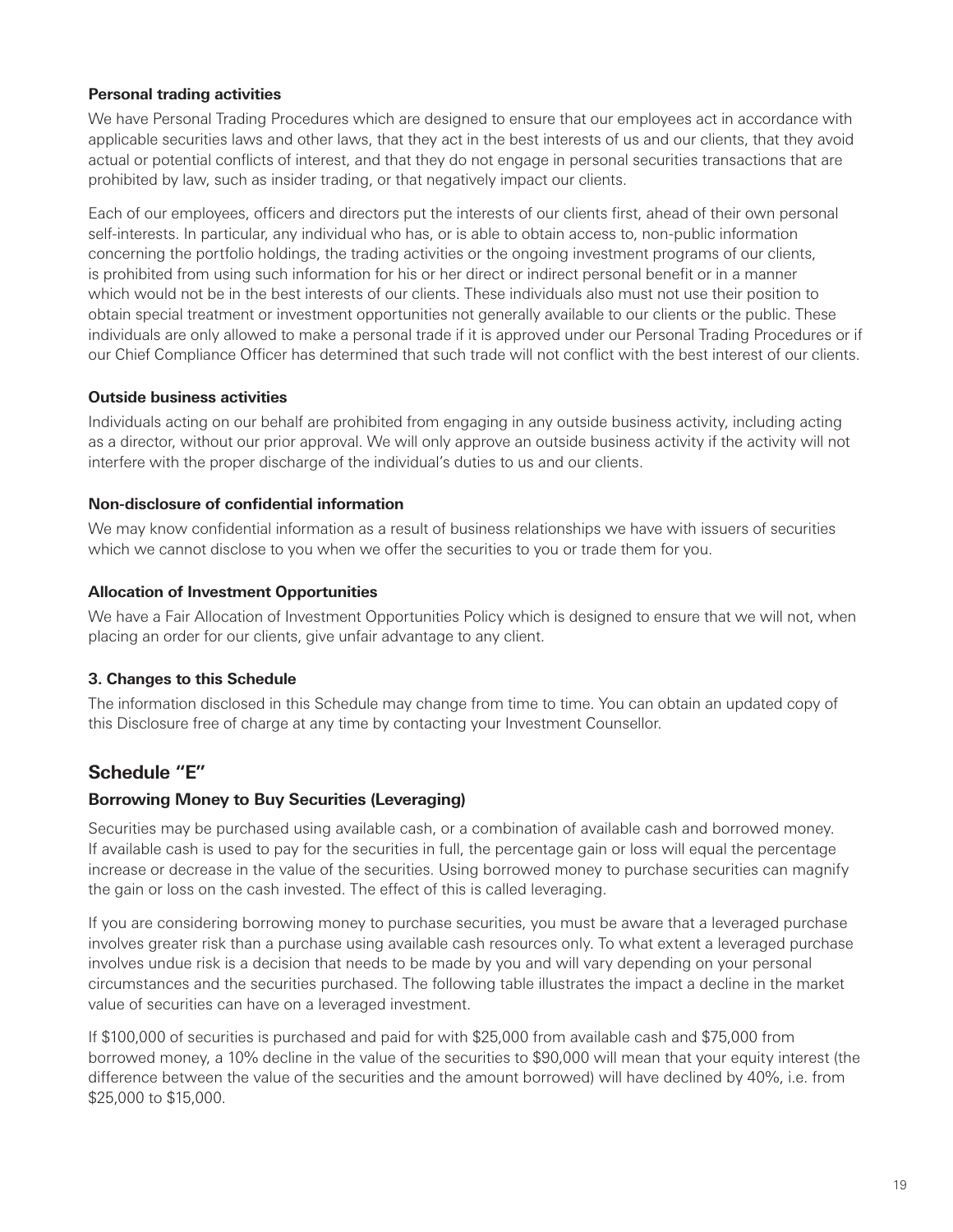### <span id="page-22-0"></span>**Personal trading activities**

We have Personal Trading Procedures which are designed to ensure that our employees act in accordance with applicable securities laws and other laws, that they act in the best interests of us and our clients, that they avoid actual or potential conflicts of interest, and that they do not engage in personal securities transactions that are prohibited by law, such as insider trading, or that negatively impact our clients.

Each of our employees, officers and directors put the interests of our clients first, ahead of their own personal self-interests. In particular, any individual who has, or is able to obtain access to, non-public information concerning the portfolio holdings, the trading activities or the ongoing investment programs of our clients, is prohibited from using such information for his or her direct or indirect personal benefit or in a manner which would not be in the best interests of our clients. These individuals also must not use their position to obtain special treatment or investment opportunities not generally available to our clients or the public. These individuals are only allowed to make a personal trade if it is approved under our Personal Trading Procedures or if our Chief Compliance Officer has determined that such trade will not conflict with the best interest of our clients.

#### **Outside business activities**

Individuals acting on our behalf are prohibited from engaging in any outside business activity, including acting as a director, without our prior approval. We will only approve an outside business activity if the activity will not interfere with the proper discharge of the individual's duties to us and our clients.

#### **Non-disclosure of confidential information**

We may know confidential information as a result of business relationships we have with issuers of securities which we cannot disclose to you when we offer the securities to you or trade them for you.

#### **Allocation of Investment Opportunities**

We have a Fair Allocation of Investment Opportunities Policy which is designed to ensure that we will not, when placing an order for our clients, give unfair advantage to any client.

# **3. Changes to this Schedule**

The information disclosed in this Schedule may change from time to time. You can obtain an updated copy of this Disclosure free of charge at any time by contacting your Investment Counsellor.

# **Schedule "E"**

#### **Borrowing Money to Buy Securities (Leveraging)**

Securities may be purchased using available cash, or a combination of available cash and borrowed money. If available cash is used to pay for the securities in full, the percentage gain or loss will equal the percentage increase or decrease in the value of the securities. Using borrowed money to purchase securities can magnify the gain or loss on the cash invested. The effect of this is called leveraging.

If you are considering borrowing money to purchase securities, you must be aware that a leveraged purchase involves greater risk than a purchase using available cash resources only. To what extent a leveraged purchase involves undue risk is a decision that needs to be made by you and will vary depending on your personal circumstances and the securities purchased. The following table illustrates the impact a decline in the market value of securities can have on a leveraged investment.

If \$100,000 of securities is purchased and paid for with \$25,000 from available cash and \$75,000 from borrowed money, a 10% decline in the value of the securities to \$90,000 will mean that your equity interest (the difference between the value of the securities and the amount borrowed) will have declined by 40%, i.e. from \$25,000 to \$15,000.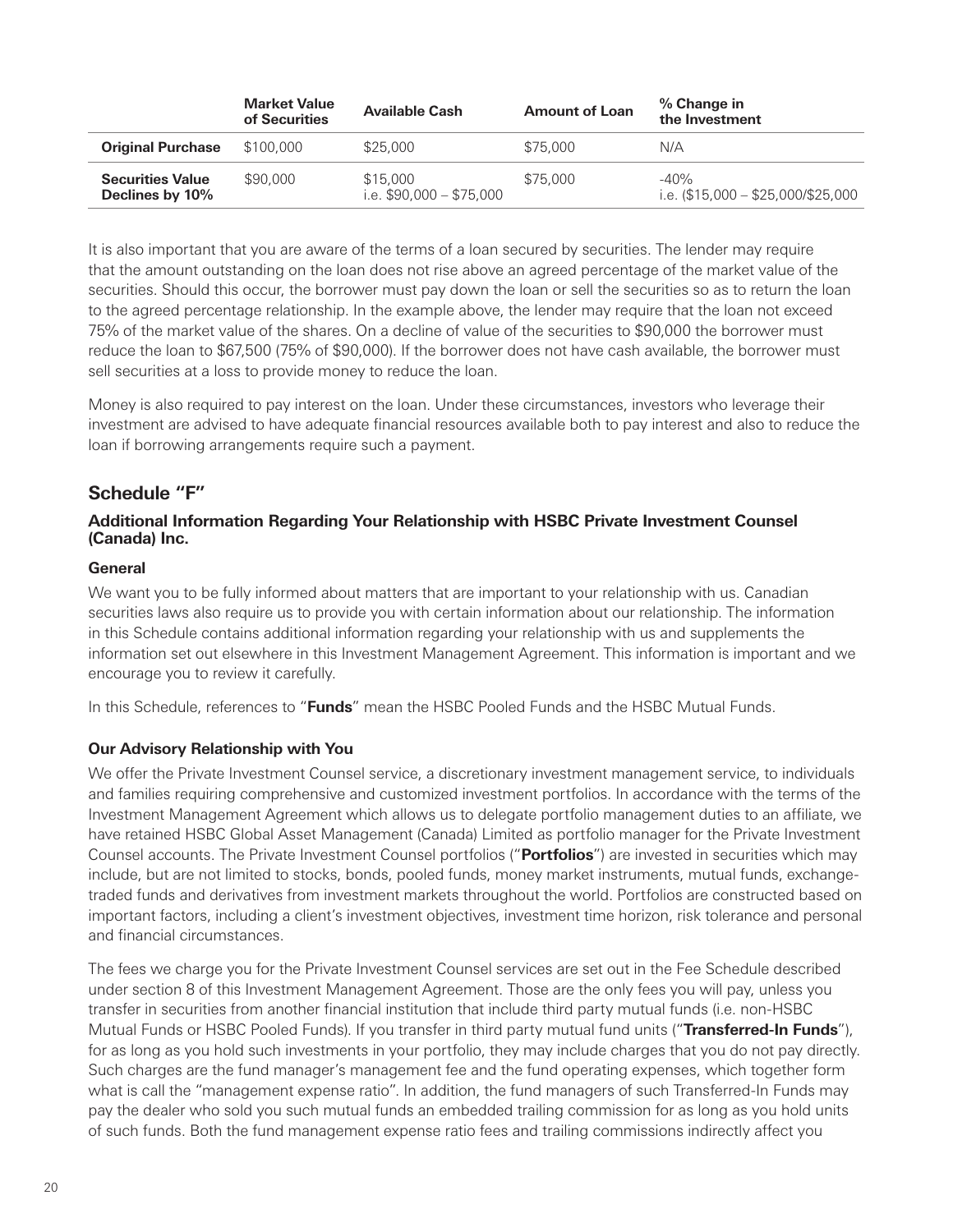<span id="page-23-0"></span>

|                                            | <b>Market Value</b><br>of Securities | <b>Available Cash</b>                | <b>Amount of Loan</b> | % Change in<br>the Investment                  |
|--------------------------------------------|--------------------------------------|--------------------------------------|-----------------------|------------------------------------------------|
| <b>Original Purchase</b>                   | \$100,000                            | \$25,000                             | \$75,000              | N/A                                            |
| <b>Securities Value</b><br>Declines by 10% | \$90,000                             | \$15,000<br>i.e. \$90,000 - \$75,000 | \$75,000              | $-40%$<br>i.e. $(\$15,000 - \$25,000/\$25,000$ |

It is also important that you are aware of the terms of a loan secured by securities. The lender may require that the amount outstanding on the loan does not rise above an agreed percentage of the market value of the securities. Should this occur, the borrower must pay down the loan or sell the securities so as to return the loan to the agreed percentage relationship. In the example above, the lender may require that the loan not exceed 75% of the market value of the shares. On a decline of value of the securities to \$90,000 the borrower must reduce the loan to \$67,500 (75% of \$90,000). If the borrower does not have cash available, the borrower must sell securities at a loss to provide money to reduce the loan.

Money is also required to pay interest on the loan. Under these circumstances, investors who leverage their investment are advised to have adequate financial resources available both to pay interest and also to reduce the loan if borrowing arrangements require such a payment.

# **Schedule "F"**

#### **Additional Information Regarding Your Relationship with HSBC Private Investment Counsel (Canada) Inc.**

#### **General**

We want you to be fully informed about matters that are important to your relationship with us. Canadian securities laws also require us to provide you with certain information about our relationship. The information in this Schedule contains additional information regarding your relationship with us and supplements the information set out elsewhere in this Investment Management Agreement. This information is important and we encourage you to review it carefully.

In this Schedule, references to "**Funds**" mean the HSBC Pooled Funds and the HSBC Mutual Funds.

#### **Our Advisory Relationship with You**

We offer the Private Investment Counsel service, a discretionary investment management service, to individuals and families requiring comprehensive and customized investment portfolios. In accordance with the terms of the Investment Management Agreement which allows us to delegate portfolio management duties to an affiliate, we have retained HSBC Global Asset Management (Canada) Limited as portfolio manager for the Private Investment Counsel accounts. The Private Investment Counsel portfolios ("**Portfolios**") are invested in securities which may include, but are not limited to stocks, bonds, pooled funds, money market instruments, mutual funds, exchangetraded funds and derivatives from investment markets throughout the world. Portfolios are constructed based on important factors, including a client's investment objectives, investment time horizon, risk tolerance and personal and financial circumstances.

The fees we charge you for the Private Investment Counsel services are set out in the Fee Schedule described under section 8 of this Investment Management Agreement. Those are the only fees you will pay, unless you transfer in securities from another financial institution that include third party mutual funds (i.e. non-HSBC Mutual Funds or HSBC Pooled Funds). If you transfer in third party mutual fund units ("**Transferred-In Funds**"), for as long as you hold such investments in your portfolio, they may include charges that you do not pay directly. Such charges are the fund manager's management fee and the fund operating expenses, which together form what is call the "management expense ratio". In addition, the fund managers of such Transferred-In Funds may pay the dealer who sold you such mutual funds an embedded trailing commission for as long as you hold units of such funds. Both the fund management expense ratio fees and trailing commissions indirectly affect you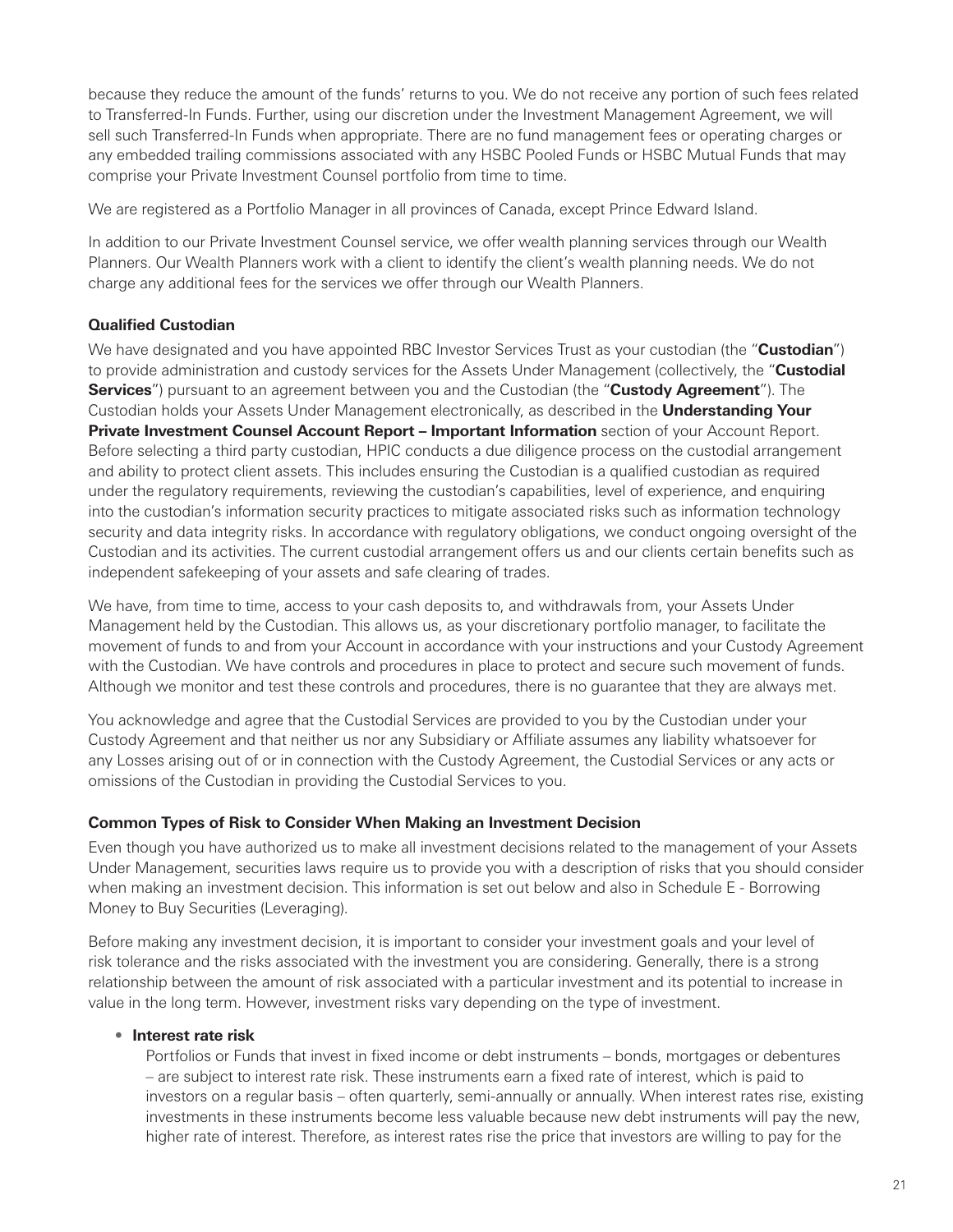because they reduce the amount of the funds' returns to you. We do not receive any portion of such fees related to Transferred-In Funds. Further, using our discretion under the Investment Management Agreement, we will sell such Transferred-In Funds when appropriate. There are no fund management fees or operating charges or any embedded trailing commissions associated with any HSBC Pooled Funds or HSBC Mutual Funds that may comprise your Private Investment Counsel portfolio from time to time.

We are registered as a Portfolio Manager in all provinces of Canada, except Prince Edward Island.

In addition to our Private Investment Counsel service, we offer wealth planning services through our Wealth Planners. Our Wealth Planners work with a client to identify the client's wealth planning needs. We do not charge any additional fees for the services we offer through our Wealth Planners.

#### **Qualified Custodian**

We have designated and you have appointed RBC Investor Services Trust as your custodian (the "**Custodian**") to provide administration and custody services for the Assets Under Management (collectively, the "**Custodial Services**") pursuant to an agreement between you and the Custodian (the "**Custody Agreement**"). The Custodian holds your Assets Under Management electronically, as described in the **Understanding Your Private Investment Counsel Account Report – Important Information** section of your Account Report. Before selecting a third party custodian, HPIC conducts a due diligence process on the custodial arrangement and ability to protect client assets. This includes ensuring the Custodian is a qualified custodian as required under the regulatory requirements, reviewing the custodian's capabilities, level of experience, and enquiring into the custodian's information security practices to mitigate associated risks such as information technology security and data integrity risks. In accordance with regulatory obligations, we conduct ongoing oversight of the Custodian and its activities. The current custodial arrangement offers us and our clients certain benefits such as independent safekeeping of your assets and safe clearing of trades.

We have, from time to time, access to your cash deposits to, and withdrawals from, your Assets Under Management held by the Custodian. This allows us, as your discretionary portfolio manager, to facilitate the movement of funds to and from your Account in accordance with your instructions and your Custody Agreement with the Custodian. We have controls and procedures in place to protect and secure such movement of funds. Although we monitor and test these controls and procedures, there is no guarantee that they are always met.

You acknowledge and agree that the Custodial Services are provided to you by the Custodian under your Custody Agreement and that neither us nor any Subsidiary or Affiliate assumes any liability whatsoever for any Losses arising out of or in connection with the Custody Agreement, the Custodial Services or any acts or omissions of the Custodian in providing the Custodial Services to you.

#### **Common Types of Risk to Consider When Making an Investment Decision**

Even though you have authorized us to make all investment decisions related to the management of your Assets Under Management, securities laws require us to provide you with a description of risks that you should consider when making an investment decision. This information is set out below and also in Schedule E - Borrowing Money to Buy Securities (Leveraging).

Before making any investment decision, it is important to consider your investment goals and your level of risk tolerance and the risks associated with the investment you are considering. Generally, there is a strong relationship between the amount of risk associated with a particular investment and its potential to increase in value in the long term. However, investment risks vary depending on the type of investment.

#### • **Interest rate risk**

Portfolios or Funds that invest in fixed income or debt instruments – bonds, mortgages or debentures – are subject to interest rate risk. These instruments earn a fixed rate of interest, which is paid to investors on a regular basis – often quarterly, semi-annually or annually. When interest rates rise, existing investments in these instruments become less valuable because new debt instruments will pay the new, higher rate of interest. Therefore, as interest rates rise the price that investors are willing to pay for the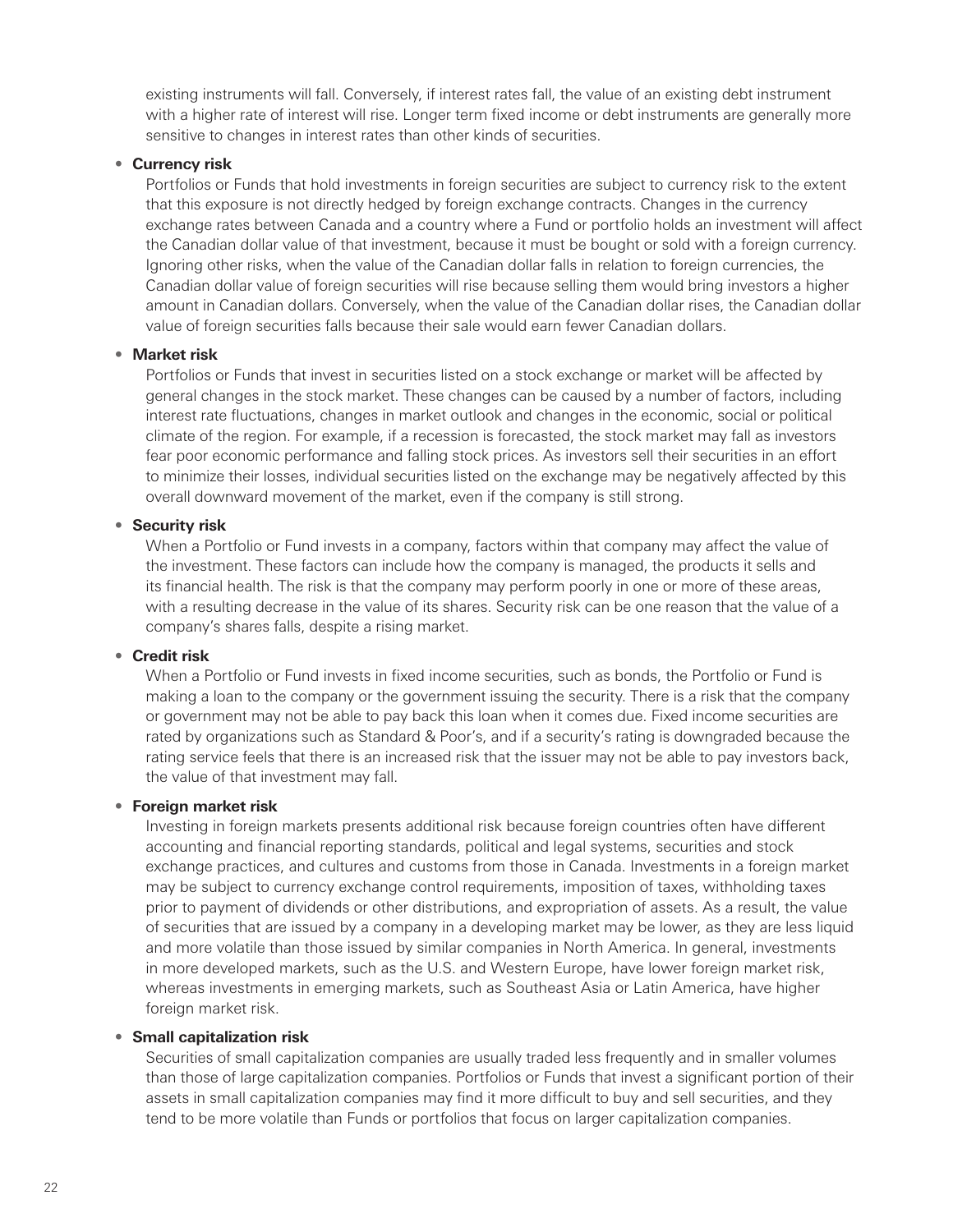existing instruments will fall. Conversely, if interest rates fall, the value of an existing debt instrument with a higher rate of interest will rise. Longer term fixed income or debt instruments are generally more sensitive to changes in interest rates than other kinds of securities.

#### • **Currency risk**

Portfolios or Funds that hold investments in foreign securities are subject to currency risk to the extent that this exposure is not directly hedged by foreign exchange contracts. Changes in the currency exchange rates between Canada and a country where a Fund or portfolio holds an investment will affect the Canadian dollar value of that investment, because it must be bought or sold with a foreign currency. Ignoring other risks, when the value of the Canadian dollar falls in relation to foreign currencies, the Canadian dollar value of foreign securities will rise because selling them would bring investors a higher amount in Canadian dollars. Conversely, when the value of the Canadian dollar rises, the Canadian dollar value of foreign securities falls because their sale would earn fewer Canadian dollars.

#### • **Market risk**

Portfolios or Funds that invest in securities listed on a stock exchange or market will be affected by general changes in the stock market. These changes can be caused by a number of factors, including interest rate fluctuations, changes in market outlook and changes in the economic, social or political climate of the region. For example, if a recession is forecasted, the stock market may fall as investors fear poor economic performance and falling stock prices. As investors sell their securities in an effort to minimize their losses, individual securities listed on the exchange may be negatively affected by this overall downward movement of the market, even if the company is still strong.

#### • **Security risk**

When a Portfolio or Fund invests in a company, factors within that company may affect the value of the investment. These factors can include how the company is managed, the products it sells and its financial health. The risk is that the company may perform poorly in one or more of these areas, with a resulting decrease in the value of its shares. Security risk can be one reason that the value of a company's shares falls, despite a rising market.

#### • **Credit risk**

When a Portfolio or Fund invests in fixed income securities, such as bonds, the Portfolio or Fund is making a loan to the company or the government issuing the security. There is a risk that the company or government may not be able to pay back this loan when it comes due. Fixed income securities are rated by organizations such as Standard & Poor's, and if a security's rating is downgraded because the rating service feels that there is an increased risk that the issuer may not be able to pay investors back, the value of that investment may fall.

#### • **Foreign market risk**

Investing in foreign markets presents additional risk because foreign countries often have different accounting and financial reporting standards, political and legal systems, securities and stock exchange practices, and cultures and customs from those in Canada. Investments in a foreign market may be subject to currency exchange control requirements, imposition of taxes, withholding taxes prior to payment of dividends or other distributions, and expropriation of assets. As a result, the value of securities that are issued by a company in a developing market may be lower, as they are less liquid and more volatile than those issued by similar companies in North America. In general, investments in more developed markets, such as the U.S. and Western Europe, have lower foreign market risk, whereas investments in emerging markets, such as Southeast Asia or Latin America, have higher foreign market risk.

#### • **Small capitalization risk**

Securities of small capitalization companies are usually traded less frequently and in smaller volumes than those of large capitalization companies. Portfolios or Funds that invest a significant portion of their assets in small capitalization companies may find it more difficult to buy and sell securities, and they tend to be more volatile than Funds or portfolios that focus on larger capitalization companies.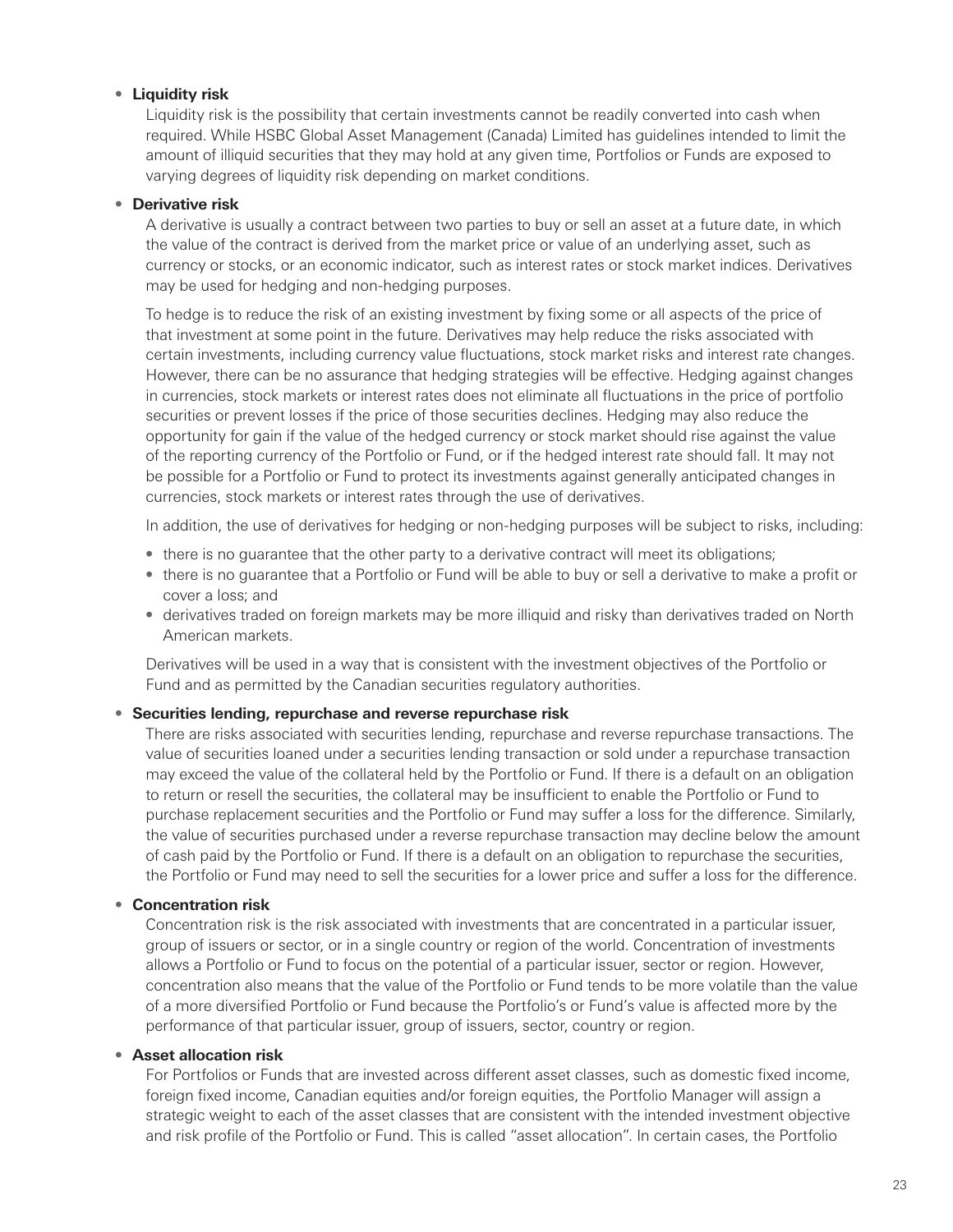#### • **Liquidity risk**

Liquidity risk is the possibility that certain investments cannot be readily converted into cash when required. While HSBC Global Asset Management (Canada) Limited has guidelines intended to limit the amount of illiquid securities that they may hold at any given time, Portfolios or Funds are exposed to varying degrees of liquidity risk depending on market conditions.

#### • **Derivative risk**

A derivative is usually a contract between two parties to buy or sell an asset at a future date, in which the value of the contract is derived from the market price or value of an underlying asset, such as currency or stocks, or an economic indicator, such as interest rates or stock market indices. Derivatives may be used for hedging and non-hedging purposes.

To hedge is to reduce the risk of an existing investment by fixing some or all aspects of the price of that investment at some point in the future. Derivatives may help reduce the risks associated with certain investments, including currency value fluctuations, stock market risks and interest rate changes. However, there can be no assurance that hedging strategies will be effective. Hedging against changes in currencies, stock markets or interest rates does not eliminate all fluctuations in the price of portfolio securities or prevent losses if the price of those securities declines. Hedging may also reduce the opportunity for gain if the value of the hedged currency or stock market should rise against the value of the reporting currency of the Portfolio or Fund, or if the hedged interest rate should fall. It may not be possible for a Portfolio or Fund to protect its investments against generally anticipated changes in currencies, stock markets or interest rates through the use of derivatives.

In addition, the use of derivatives for hedging or non-hedging purposes will be subject to risks, including:

- there is no guarantee that the other party to a derivative contract will meet its obligations;
- there is no guarantee that a Portfolio or Fund will be able to buy or sell a derivative to make a profit or cover a loss; and
- derivatives traded on foreign markets may be more illiquid and risky than derivatives traded on North American markets.

Derivatives will be used in a way that is consistent with the investment objectives of the Portfolio or Fund and as permitted by the Canadian securities regulatory authorities.

#### • **Securities lending, repurchase and reverse repurchase risk**

There are risks associated with securities lending, repurchase and reverse repurchase transactions. The value of securities loaned under a securities lending transaction or sold under a repurchase transaction may exceed the value of the collateral held by the Portfolio or Fund. If there is a default on an obligation to return or resell the securities, the collateral may be insufficient to enable the Portfolio or Fund to purchase replacement securities and the Portfolio or Fund may suffer a loss for the difference. Similarly, the value of securities purchased under a reverse repurchase transaction may decline below the amount of cash paid by the Portfolio or Fund. If there is a default on an obligation to repurchase the securities, the Portfolio or Fund may need to sell the securities for a lower price and suffer a loss for the difference.

#### • **Concentration risk**

Concentration risk is the risk associated with investments that are concentrated in a particular issuer, group of issuers or sector, or in a single country or region of the world. Concentration of investments allows a Portfolio or Fund to focus on the potential of a particular issuer, sector or region. However, concentration also means that the value of the Portfolio or Fund tends to be more volatile than the value of a more diversified Portfolio or Fund because the Portfolio's or Fund's value is affected more by the performance of that particular issuer, group of issuers, sector, country or region.

#### • **Asset allocation risk**

For Portfolios or Funds that are invested across different asset classes, such as domestic fixed income, foreign fixed income, Canadian equities and/or foreign equities, the Portfolio Manager will assign a strategic weight to each of the asset classes that are consistent with the intended investment objective and risk profile of the Portfolio or Fund. This is called "asset allocation". In certain cases, the Portfolio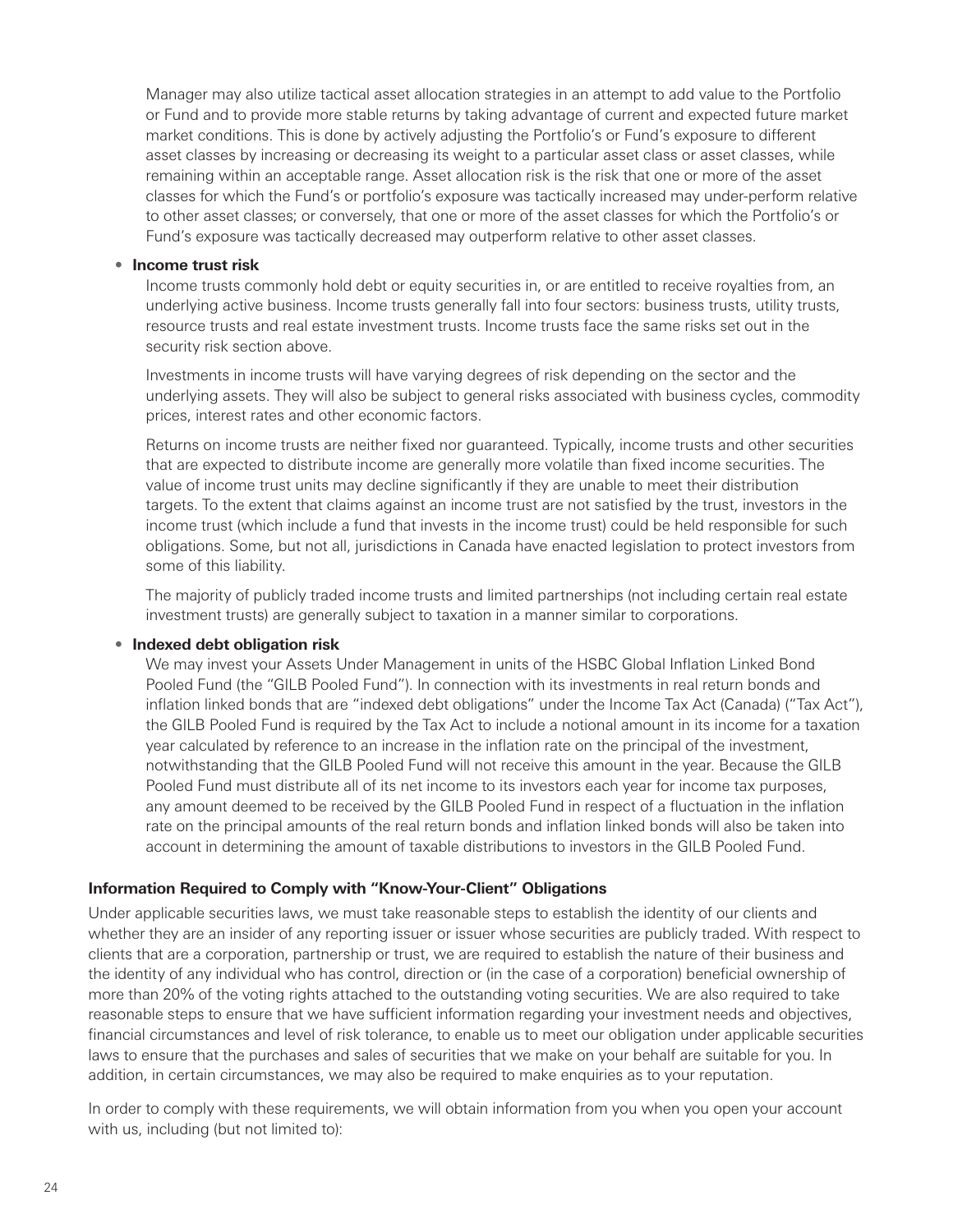Manager may also utilize tactical asset allocation strategies in an attempt to add value to the Portfolio or Fund and to provide more stable returns by taking advantage of current and expected future market market conditions. This is done by actively adjusting the Portfolio's or Fund's exposure to different asset classes by increasing or decreasing its weight to a particular asset class or asset classes, while remaining within an acceptable range. Asset allocation risk is the risk that one or more of the asset classes for which the Fund's or portfolio's exposure was tactically increased may under-perform relative to other asset classes; or conversely, that one or more of the asset classes for which the Portfolio's or Fund's exposure was tactically decreased may outperform relative to other asset classes.

#### • **Income trust risk**

Income trusts commonly hold debt or equity securities in, or are entitled to receive royalties from, an underlying active business. Income trusts generally fall into four sectors: business trusts, utility trusts, resource trusts and real estate investment trusts. Income trusts face the same risks set out in the security risk section above.

Investments in income trusts will have varying degrees of risk depending on the sector and the underlying assets. They will also be subject to general risks associated with business cycles, commodity prices, interest rates and other economic factors.

Returns on income trusts are neither fixed nor guaranteed. Typically, income trusts and other securities that are expected to distribute income are generally more volatile than fixed income securities. The value of income trust units may decline significantly if they are unable to meet their distribution targets. To the extent that claims against an income trust are not satisfied by the trust, investors in the income trust (which include a fund that invests in the income trust) could be held responsible for such obligations. Some, but not all, jurisdictions in Canada have enacted legislation to protect investors from some of this liability.

The majority of publicly traded income trusts and limited partnerships (not including certain real estate investment trusts) are generally subject to taxation in a manner similar to corporations.

#### • **Indexed debt obligation risk**

We may invest your Assets Under Management in units of the HSBC Global Inflation Linked Bond Pooled Fund (the "GILB Pooled Fund"). In connection with its investments in real return bonds and inflation linked bonds that are "indexed debt obligations" under the Income Tax Act (Canada) ("Tax Act"), the GILB Pooled Fund is required by the Tax Act to include a notional amount in its income for a taxation year calculated by reference to an increase in the inflation rate on the principal of the investment, notwithstanding that the GILB Pooled Fund will not receive this amount in the year. Because the GILB Pooled Fund must distribute all of its net income to its investors each year for income tax purposes, any amount deemed to be received by the GILB Pooled Fund in respect of a fluctuation in the inflation rate on the principal amounts of the real return bonds and inflation linked bonds will also be taken into account in determining the amount of taxable distributions to investors in the GILB Pooled Fund.

#### **Information Required to Comply with "Know-Your-Client" Obligations**

Under applicable securities laws, we must take reasonable steps to establish the identity of our clients and whether they are an insider of any reporting issuer or issuer whose securities are publicly traded. With respect to clients that are a corporation, partnership or trust, we are required to establish the nature of their business and the identity of any individual who has control, direction or (in the case of a corporation) beneficial ownership of more than 20% of the voting rights attached to the outstanding voting securities. We are also required to take reasonable steps to ensure that we have sufficient information regarding your investment needs and objectives, financial circumstances and level of risk tolerance, to enable us to meet our obligation under applicable securities laws to ensure that the purchases and sales of securities that we make on your behalf are suitable for you. In addition, in certain circumstances, we may also be required to make enquiries as to your reputation.

In order to comply with these requirements, we will obtain information from you when you open your account with us, including (but not limited to):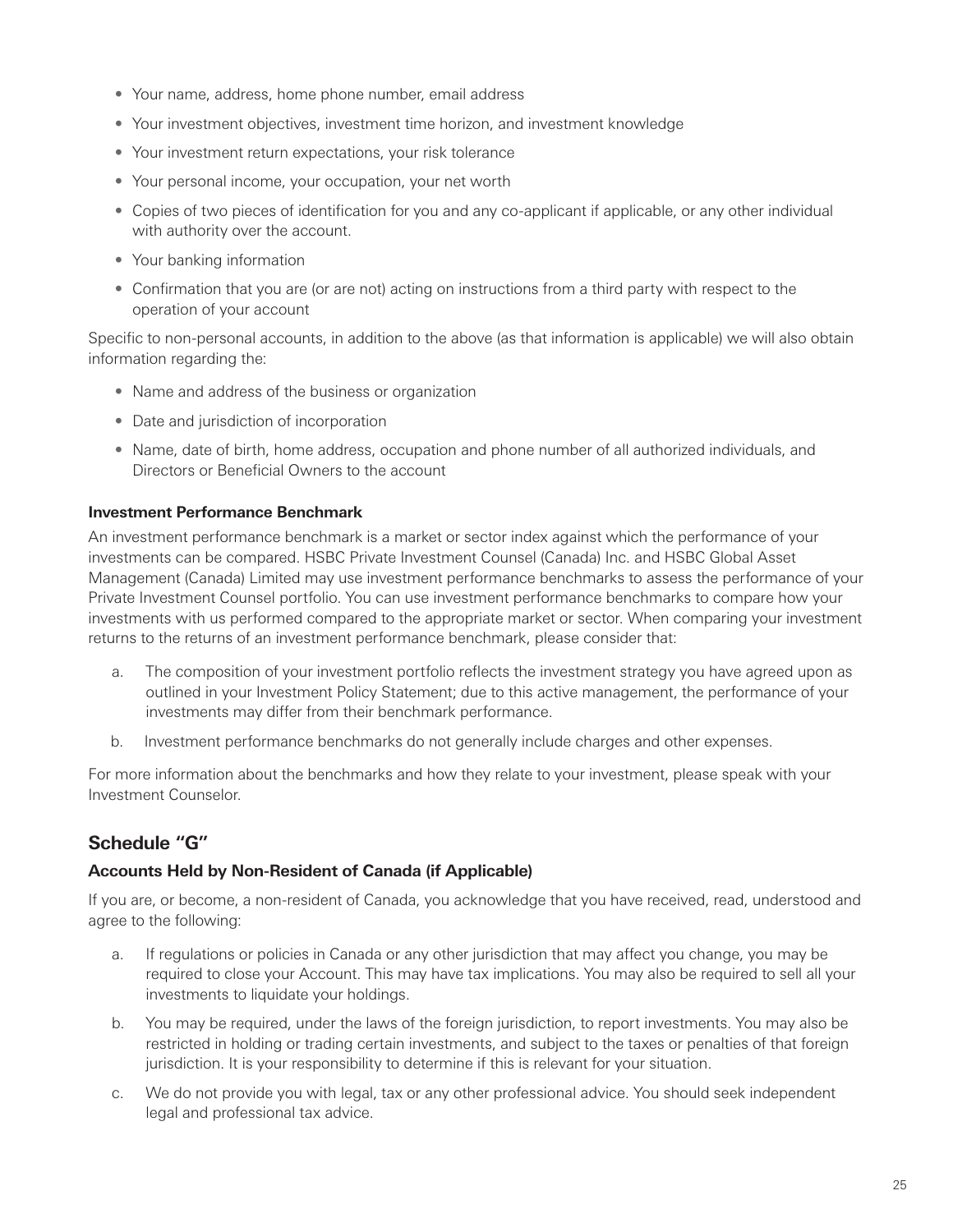- <span id="page-28-0"></span>• Your name, address, home phone number, email address
- Your investment objectives, investment time horizon, and investment knowledge
- Your investment return expectations, your risk tolerance
- Your personal income, your occupation, your net worth
- Copies of two pieces of identification for you and any co-applicant if applicable, or any other individual with authority over the account.
- Your banking information
- Confirmation that you are (or are not) acting on instructions from a third party with respect to the operation of your account

Specific to non-personal accounts, in addition to the above (as that information is applicable) we will also obtain information regarding the:

- Name and address of the business or organization
- Date and jurisdiction of incorporation
- Name, date of birth, home address, occupation and phone number of all authorized individuals, and Directors or Beneficial Owners to the account

#### **Investment Performance Benchmark**

An investment performance benchmark is a market or sector index against which the performance of your investments can be compared. HSBC Private Investment Counsel (Canada) Inc. and HSBC Global Asset Management (Canada) Limited may use investment performance benchmarks to assess the performance of your Private Investment Counsel portfolio. You can use investment performance benchmarks to compare how your investments with us performed compared to the appropriate market or sector. When comparing your investment returns to the returns of an investment performance benchmark, please consider that:

- a. The composition of your investment portfolio reflects the investment strategy you have agreed upon as outlined in your Investment Policy Statement; due to this active management, the performance of your investments may differ from their benchmark performance.
- b. Investment performance benchmarks do not generally include charges and other expenses.

For more information about the benchmarks and how they relate to your investment, please speak with your Investment Counselor.

# **Schedule "G"**

# **Accounts Held by Non-Resident of Canada (if Applicable)**

If you are, or become, a non-resident of Canada, you acknowledge that you have received, read, understood and agree to the following:

- a. If regulations or policies in Canada or any other jurisdiction that may affect you change, you may be required to close your Account. This may have tax implications. You may also be required to sell all your investments to liquidate your holdings.
- b. You may be required, under the laws of the foreign jurisdiction, to report investments. You may also be restricted in holding or trading certain investments, and subject to the taxes or penalties of that foreign jurisdiction. It is your responsibility to determine if this is relevant for your situation.
- c. We do not provide you with legal, tax or any other professional advice. You should seek independent legal and professional tax advice.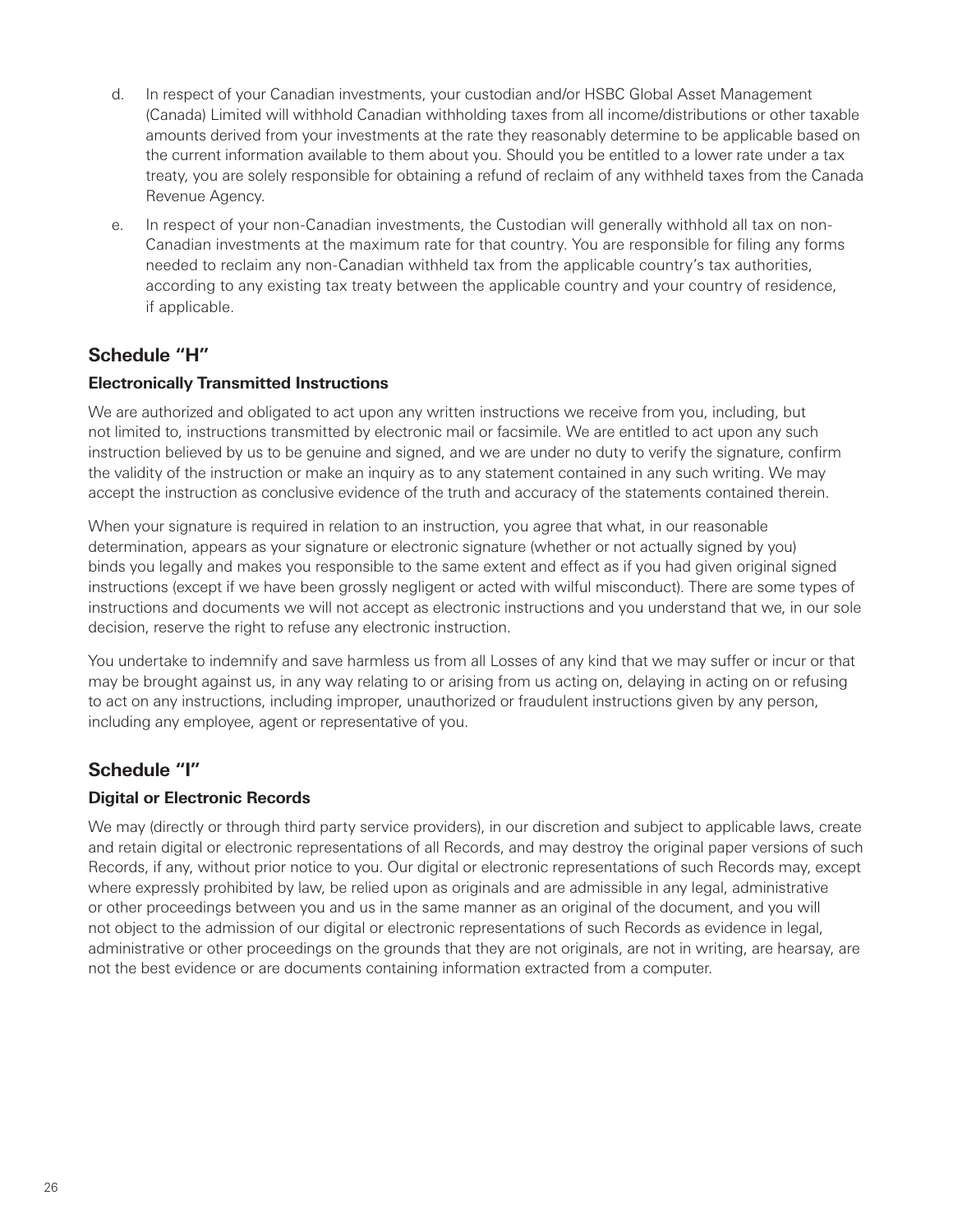- <span id="page-29-0"></span>d. In respect of your Canadian investments, your custodian and/or HSBC Global Asset Management (Canada) Limited will withhold Canadian withholding taxes from all income/distributions or other taxable amounts derived from your investments at the rate they reasonably determine to be applicable based on the current information available to them about you. Should you be entitled to a lower rate under a tax treaty, you are solely responsible for obtaining a refund of reclaim of any withheld taxes from the Canada Revenue Agency.
- e. In respect of your non-Canadian investments, the Custodian will generally withhold all tax on non-Canadian investments at the maximum rate for that country. You are responsible for filing any forms needed to reclaim any non-Canadian withheld tax from the applicable country's tax authorities, according to any existing tax treaty between the applicable country and your country of residence, if applicable.

# **Schedule "H"**

#### **Electronically Transmitted Instructions**

We are authorized and obligated to act upon any written instructions we receive from you, including, but not limited to, instructions transmitted by electronic mail or facsimile. We are entitled to act upon any such instruction believed by us to be genuine and signed, and we are under no duty to verify the signature, confirm the validity of the instruction or make an inquiry as to any statement contained in any such writing. We may accept the instruction as conclusive evidence of the truth and accuracy of the statements contained therein.

When your signature is required in relation to an instruction, you agree that what, in our reasonable determination, appears as your signature or electronic signature (whether or not actually signed by you) binds you legally and makes you responsible to the same extent and effect as if you had given original signed instructions (except if we have been grossly negligent or acted with wilful misconduct). There are some types of instructions and documents we will not accept as electronic instructions and you understand that we, in our sole decision, reserve the right to refuse any electronic instruction.

You undertake to indemnify and save harmless us from all Losses of any kind that we may suffer or incur or that may be brought against us, in any way relating to or arising from us acting on, delaying in acting on or refusing to act on any instructions, including improper, unauthorized or fraudulent instructions given by any person, including any employee, agent or representative of you.

# **Schedule "I"**

# **Digital or Electronic Records**

We may (directly or through third party service providers), in our discretion and subject to applicable laws, create and retain digital or electronic representations of all Records, and may destroy the original paper versions of such Records, if any, without prior notice to you. Our digital or electronic representations of such Records may, except where expressly prohibited by law, be relied upon as originals and are admissible in any legal, administrative or other proceedings between you and us in the same manner as an original of the document, and you will not object to the admission of our digital or electronic representations of such Records as evidence in legal, administrative or other proceedings on the grounds that they are not originals, are not in writing, are hearsay, are not the best evidence or are documents containing information extracted from a computer.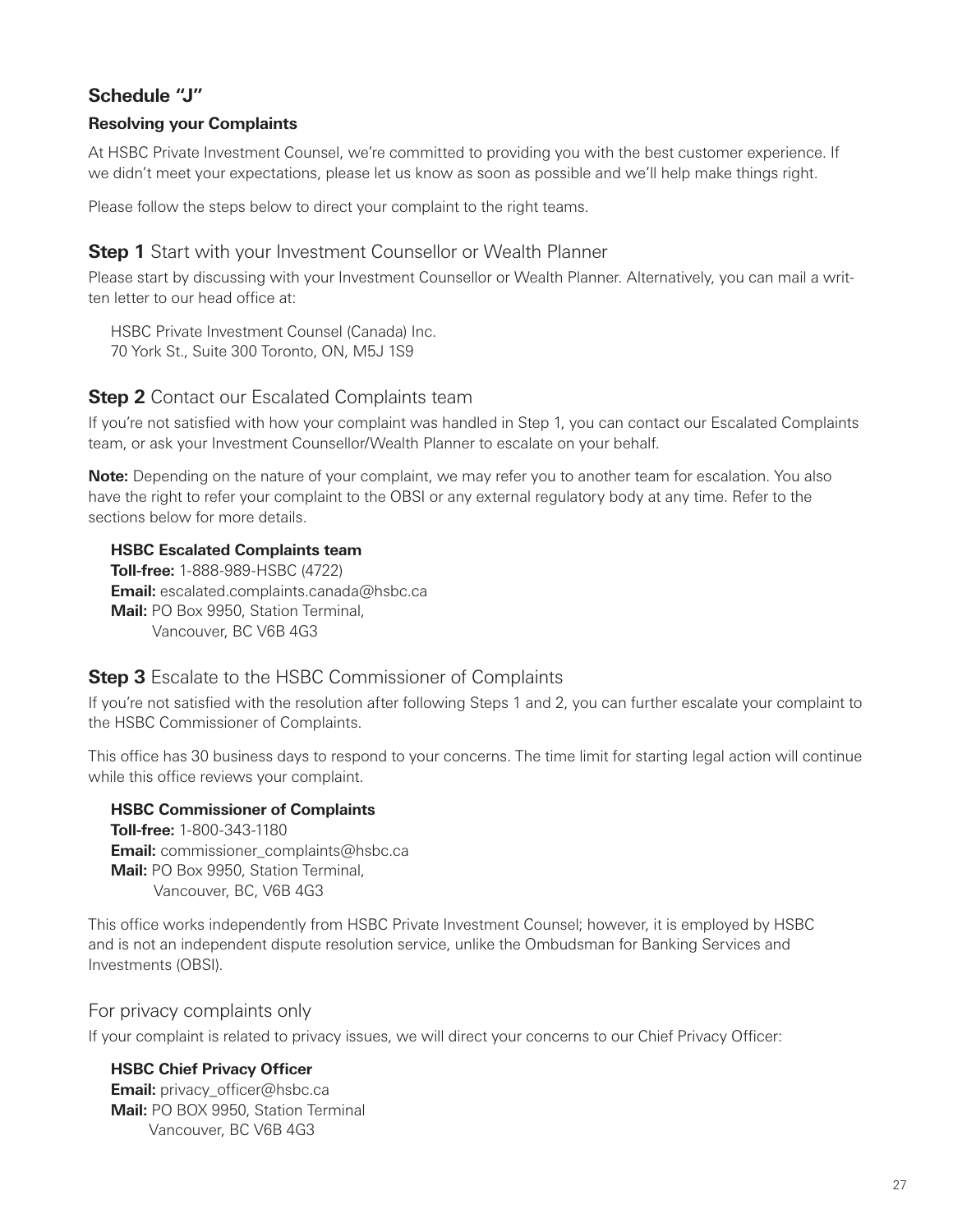# **Schedule "J"**

# **Resolving your Complaints**

At HSBC Private Investment Counsel, we're committed to providing you with the best customer experience. If we didn't meet your expectations, please let us know as soon as possible and we'll help make things right.

Please follow the steps below to direct your complaint to the right teams.

# **Step 1** Start with your Investment Counsellor or Wealth Planner

Please start by discussing with your Investment Counsellor or Wealth Planner. Alternatively, you can mail a written letter to our head office at:

HSBC Private Investment Counsel (Canada) Inc. 70 York St., Suite 300 Toronto, ON, M5J 1S9

# **Step 2** Contact our Escalated Complaints team

If you're not satisfied with how your complaint was handled in Step 1, you can contact our Escalated Complaints team, or ask your Investment Counsellor/Wealth Planner to escalate on your behalf.

**Note:** Depending on the nature of your complaint, we may refer you to another team for escalation. You also have the right to refer your complaint to the OBSI or any external regulatory body at any time. Refer to the sections below for more details.

# **HSBC Escalated Complaints team**

**Toll-free:** 1-888-989-HSBC (4722) **Email:** escalated.complaints.canada@hsbc.ca **Mail:** PO Box 9950, Station Terminal, Vancouver, BC V6B 4G3

# **Step 3** Escalate to the HSBC Commissioner of Complaints

If you're not satisfied with the resolution after following Steps 1 and 2, you can further escalate your complaint to the HSBC Commissioner of Complaints.

This office has 30 business days to respond to your concerns. The time limit for starting legal action will continue while this office reviews your complaint.

#### **HSBC Commissioner of Complaints**

**Toll-free:** 1-800-343-1180 **Email:** commissioner\_complaints@hsbc.ca **Mail:** PO Box 9950, Station Terminal, Vancouver, BC, V6B 4G3

This office works independently from HSBC Private Investment Counsel; however, it is employed by HSBC and is not an independent dispute resolution service, unlike the Ombudsman for Banking Services and Investments (OBSI).

# For privacy complaints only

If your complaint is related to privacy issues, we will direct your concerns to our Chief Privacy Officer:

#### **HSBC Chief Privacy Officer Email:** privacy officer@hsbc.ca **Mail:** PO BOX 9950, Station Terminal Vancouver, BC V6B 4G3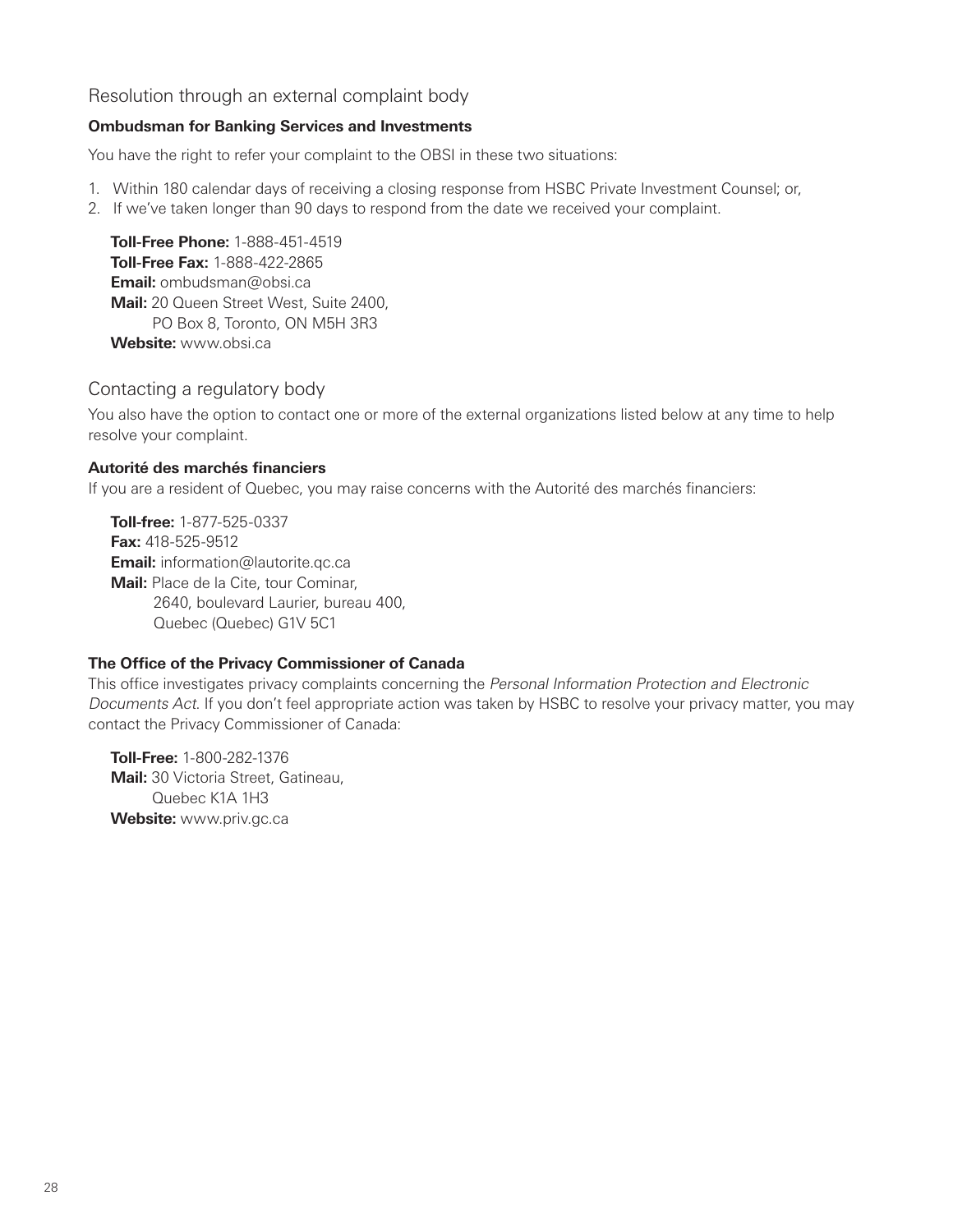# Resolution through an external complaint body

#### **Ombudsman for Banking Services and Investments**

You have the right to refer your complaint to the OBSI in these two situations:

- 1. Within 180 calendar days of receiving a closing response from HSBC Private Investment Counsel; or,
- 2. If we've taken longer than 90 days to respond from the date we received your complaint.

**Toll-Free Phone:** 1-888-451-4519 **Toll-Free Fax:** 1-888-422-2865 **Email:** ombudsman@obsi.ca **Mail:** 20 Queen Street West, Suite 2400, PO Box 8, Toronto, ON M5H 3R3 **Website:** www.obsi.ca

#### Contacting a regulatory body

You also have the option to contact one or more of the external organizations listed below at any time to help resolve your complaint.

#### **Autorité des marchés financiers**

If you are a resident of Quebec, you may raise concerns with the Autorité des marchés financiers:

**Toll-free:** 1-877-525-0337 **Fax:** 418-525-9512 **Email:** information@lautorite.qc.ca **Mail:** Place de la Cite, tour Cominar, 2640, boulevard Laurier, bureau 400, Quebec (Quebec) G1V 5C1

#### **The Office of the Privacy Commissioner of Canada**

This office investigates privacy complaints concerning the Personal Information Protection and Electronic Documents Act. If you don't feel appropriate action was taken by HSBC to resolve your privacy matter, you may contact the Privacy Commissioner of Canada:

**Toll-Free:** 1-800-282-1376 **Mail:** 30 Victoria Street, Gatineau, Quebec K1A 1H3 **Website:** www.priv.gc.ca